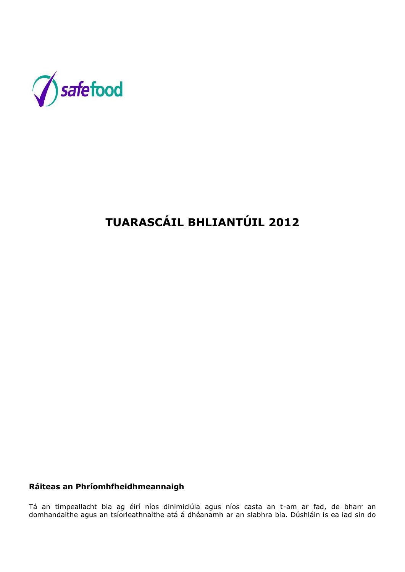

# **TUARASCÁIL BHLIANTÚIL 2012**

# **Ráiteas an Phríomhfheidhmeannaigh**

Tá an timpeallacht bia ag éirí níos dinimiciúla agus níos casta an t-am ar fad, de bharr an domhandaithe agus an tsíorleathnaithe atá á dhéanamh ar an slabhra bia. Dúshláin is ea iad sin do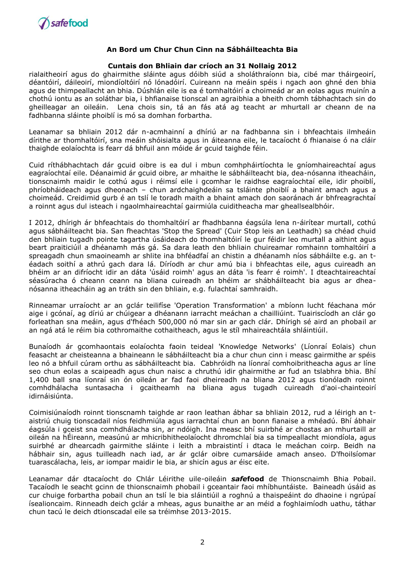

#### **Cuntais don Bhliain dar críoch an 31 Nollaig 2012**

rialaitheoirí agus do ghairmithe sláinte agus dóibh siúd a sholáthraíonn bia, cibé mar tháirgeoirí, déantóirí, dáileoirí, miondíoltóirí nó lónadóirí. Cuireann na meáin spéis i ngach aon ghné den bhia agus de thimpeallacht an bhia. Dúshlán eile is ea é tomhaltóirí a choimeád ar an eolas agus muinín a chothú iontu as an soláthar bia, i bhfianaise tionscal an agraibhia a bheith chomh tábhachtach sin do gheilleagar an oileáin. Lena chois sin, tá an fás atá ag teacht ar mhurtall ar cheann de na fadhbanna sláinte phoiblí is mó sa domhan forbartha.

Leanamar sa bhliain 2012 dár n-acmhainní a dhíriú ar na fadhbanna sin i bhfeachtais ilmheáin dírithe ar thomhaltóirí, sna meáin shóisialta agus in áiteanna eile, le tacaíocht ó fhianaise ó na cláir thaighde eolaíochta is fearr dá bhfuil ann móide ár gcuid taighde féin.

Cuid ríthábhachtach dár gcuid oibre is ea dul i mbun comhpháirtíochta le gníomhaireachtaí agus eagraíochtaí eile. Déanaimid ár gcuid oibre, ar mhaithe le sábháilteacht bia, dea-nósanna itheacháin, tionscnaimh maidir le cothú agus i réimsí eile i gcomhar le raidhse eagraíochtaí eile, idir phoiblí, phríobháideach agus dheonach – chun ardchaighdeáin sa tsláinte phoiblí a bhaint amach agus a choimeád. Creidimid gurb é an tslí le toradh maith a bhaint amach don saoránach ár bhfreagrachtaí a roinnt agus dul isteach i ngaolmhaireachtaí gairmiúla cuiditheacha mar gheallsealbhóir.

I 2012, dhírigh ár bhfeachtais do thomhaltóirí ar fhadhbanna éagsúla lena n-áirítear murtall, cothú agus sábháilteacht bia. San fheachtas 'Stop the Spread' (Cuir Stop leis an Leathadh) sa chéad chuid den bhliain tugadh pointe tagartha úsáideach do thomhaltóirí le gur féidir leo murtall a aithint agus beart praiticiúil a dhéanamh más gá. Sa dara leath den bhliain chuireamar romhainn tomhaltóirí a spreagadh chun smaoineamh ar shlite ina bhféadfaí an chistin a dhéanamh níos sábháilte e.g. an téadach soithí a athrú gach dara lá. Díríodh ar chur amú bia i bhfeachtas eile, agus cuireadh an bhéim ar an difríocht idir an dáta 'úsáid roimh' agus an dáta 'is fearr é roimh'. I dteachtaireachtaí séasúracha ó cheann ceann na bliana cuireadh an bhéim ar shábháilteacht bia agus ar dheanósanna itheacháin ag an tráth sin den bhliain, e.g. fulachtaí samhraidh.

Rinneamar urraíocht ar an gclár teilifíse 'Operation Transformation' a mbíonn lucht féachana mór aige i gcónaí, ag díriú ar chúigear a dhéanann iarracht meáchan a chailliúint. Tuairiscíodh an clár go forleathan sna meáin, agus d'fhéach 500,000 nó mar sin ar gach clár. Dhírigh sé aird an phobail ar an ngá atá le réim bia cothromaithe cothaitheach, agus le stíl mhaireachtála shláintiúil.

Bunaíodh ár gcomhaontais eolaíochta faoin teideal 'Knowledge Networks' (Líonraí Eolais) chun feasacht ar cheisteanna a bhaineann le sábháilteacht bia a chur chun cinn i measc gairmithe ar spéis leo nó a bhfuil cúram orthu as sábháilteacht bia. Cabhróidh na líonraí comhoibritheacha agus ar líne seo chun eolas a scaipeadh agus chun naisc a chruthú idir ghairmithe ar fud an tslabhra bhia. Bhí 1,400 ball sna líonraí sin ón oileán ar fad faoi dheireadh na bliana 2012 agus tionóladh roinnt comhdhálacha suntasacha i gcaitheamh na bliana agus tugadh cuireadh d'aoi-chainteoirí idirnáisiúnta.

Coimisiúnaíodh roinnt tionscnamh taighde ar raon leathan ábhar sa bhliain 2012, rud a léirigh an taistriú chuig tionscadail níos feidhmiúla agus iarrachtaí chun an bonn fianaise a mhéadú. Bhí ábhair éagsúla i gceist sna comhdhálacha sin, ar ndóigh. Ina measc bhí suirbhé ar chostas an mhurtaill ar oileán na hÉireann, measúnú ar mhicribhitheolaíocht dhromchlaí bia sa timpeallacht miondíola, agus suirbhé ar dhearcadh gairmithe sláinte i leith a mbraistintí i dtaca le meáchan coirp. Beidh na hábhair sin, agus tuilleadh nach iad, ar ár gclár oibre cumarsáide amach anseo. D'fhoilsíomar tuarascálacha, leis, ar iompar maidir le bia, ar shicín agus ar éisc eite.

Leanamar dár dtacaíocht do Chlár Léirithe uile-oileáin *safe***food** de Thionscnaimh Bhia Pobail. Tacaíodh le seacht gcinn de thionscnaimh phobail i gceantair faoi mhíbhuntáiste. Baineadh úsáid as cur chuige forbartha pobail chun an tslí le bia sláintiúil a roghnú a thaispeáint do dhaoine i ngrúpaí ísealioncaim. Rinneadh deich gclár a mheas, agus bunaithe ar an méid a foghlaimíodh uathu, táthar chun tacú le deich dtionscadal eile sa tréimhse 2013-2015.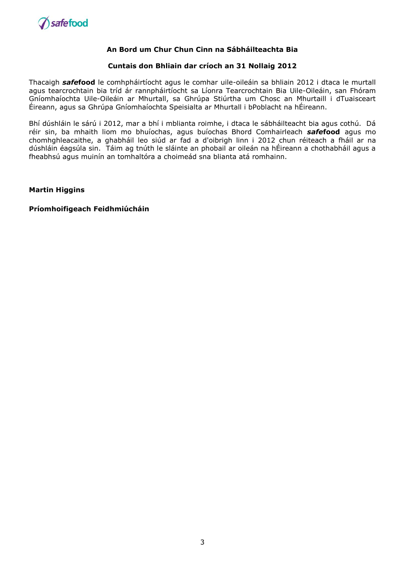

#### **Cuntais don Bhliain dar críoch an 31 Nollaig 2012**

Thacaigh *safe***food** le comhpháirtíocht agus le comhar uile-oileáin sa bhliain 2012 i dtaca le murtall agus tearcrochtain bia tríd ár rannpháirtíocht sa Líonra Tearcrochtain Bia Uile-Oileáin, san Fhóram Gníomhaíochta Uile-Oileáin ar Mhurtall, sa Ghrúpa Stiúrtha um Chosc an Mhurtaill i dTuaisceart Éireann, agus sa Ghrúpa Gníomhaíochta Speisialta ar Mhurtall i bPoblacht na hÉireann.

Bhí dúshláin le sárú i 2012, mar a bhí i mblianta roimhe, i dtaca le sábháilteacht bia agus cothú. Dá réir sin, ba mhaith liom mo bhuíochas, agus buíochas Bhord Comhairleach *safe***food** agus mo chomhghleacaithe, a ghabháil leo siúd ar fad a d'oibrigh linn i 2012 chun réiteach a fháil ar na dúshláin éagsúla sin. Táim ag tnúth le sláinte an phobail ar oileán na hÉireann a chothabháil agus a fheabhsú agus muinín an tomhaltóra a choimeád sna blianta atá romhainn.

**Martin Higgins**

**Príomhoifigeach Feidhmiúcháin**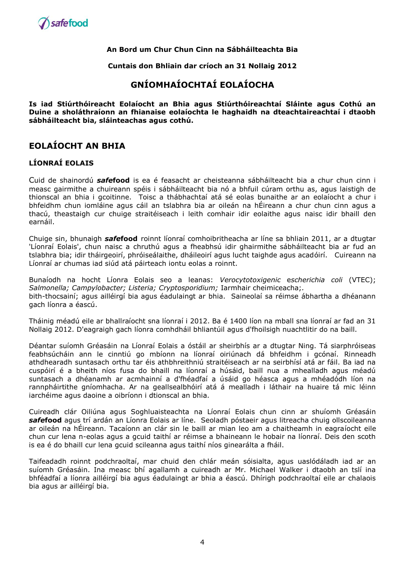

**Cuntais don Bhliain dar críoch an 31 Nollaig 2012**

# **GNÍOMHAÍOCHTAÍ EOLAÍOCHA**

**Is iad Stiúrthóireacht Eolaíocht an Bhia agus Stiúrthóireachtaí Sláinte agus Cothú an Duine a sholáthraíonn an fhianaise eolaíochta le haghaidh na dteachtaireachtaí i dtaobh sábháilteacht bia, sláinteachas agus cothú.**

# **EOLAÍOCHT AN BHIA**

# **LÍONRAÍ EOLAIS**

Cuid de shainordú *safe***food** is ea é feasacht ar cheisteanna sábháilteacht bia a chur chun cinn i measc gairmithe a chuireann spéis i sábháilteacht bia nó a bhfuil cúram orthu as, agus laistigh de thionscal an bhia i gcoitinne. Toisc a thábhachtaí atá sé eolas bunaithe ar an eolaíocht a chur i bhfeidhm chun iomláine agus cáil an tslabhra bia ar oileán na hÉireann a chur chun cinn agus a thacú, theastaigh cur chuige straitéiseach i leith comhair idir eolaithe agus naisc idir bhaill den earnáil.

Chuige sin, bhunaigh *safe***food** roinnt líonraí comhoibritheacha ar líne sa bhliain 2011, ar a dtugtar 'Líonraí Eolais', chun naisc a chruthú agus a fheabhsú idir ghairmithe sábháilteacht bia ar fud an tslabhra bia; idir tháirgeoirí, phróiseálaithe, dháileoirí agus lucht taighde agus acadóirí. Cuireann na Líonraí ar chumas iad siúd atá páirteach iontu eolas a roinnt.

Bunaíodh na hocht Líonra Eolais seo a leanas: *Verocytotoxigenic* e*scherichia coli* (VTEC); *Salmonella; Campylobacter; Listeria; Cryptosporidium;* Iarmhair cheimiceacha;*.* bith-thocsainí; agus ailléirgí bia agus éadulaingt ar bhia. Saineolaí sa réimse ábhartha a dhéanann gach líonra a éascú.

Tháinig méadú eile ar bhallraíocht sna líonraí i 2012. Ba é 1400 líon na mball sna líonraí ar fad an 31 Nollaig 2012. D'eagraigh gach líonra comhdháil bhliantúil agus d'fhoilsigh nuachtlitir do na baill.

Déantar suíomh Gréasáin na Líonraí Eolais a óstáil ar sheirbhís ar a dtugtar Ning. Tá siarphróiseas feabhsúcháin ann le cinntiú go mbíonn na líonraí oiriúnach dá bhfeidhm i gcónaí. Rinneadh athdhearadh suntasach orthu tar éis athbhreithniú straitéiseach ar na seirbhísí atá ar fáil. Ba iad na cuspóirí é a bheith níos fusa do bhaill na líonraí a húsáid, baill nua a mhealladh agus méadú suntasach a dhéanamh ar acmhainní a d'fhéadfaí a úsáid go héasca agus a mhéadódh líon na rannpháirtithe gníomhacha. Ar na geallsealbhóirí atá á mealladh i láthair na huaire tá mic léinn iarchéime agus daoine a oibríonn i dtionscal an bhia.

Cuireadh clár Oiliúna agus Soghluaisteachta na Líonraí Eolais chun cinn ar shuíomh Gréasáin *safe***food** agus trí ardán an Líonra Eolais ar líne. Seoladh póstaeir agus litreacha chuig ollscoileanna ar oileán na hÉireann. Tacaíonn an clár sin le baill ar mian leo am a chaitheamh in eagraíocht eile chun cur lena n-eolas agus a gcuid taithí ar réimse a bhaineann le hobair na líonraí. Deis den scoth is ea é do bhaill cur lena gcuid scileanna agus taithí níos ginearálta a fháil.

Taifeadadh roinnt podchraoltaí, mar chuid den chlár meán sóisialta, agus uaslódáladh iad ar an suíomh Gréasáin. Ina measc bhí agallamh a cuireadh ar Mr. Michael Walker i dtaobh an tslí ina bhféadfaí a líonra ailléirgí bia agus éadulaingt ar bhia a éascú. Dhírigh podchraoltaí eile ar chalaois bia agus ar ailléirgí bia.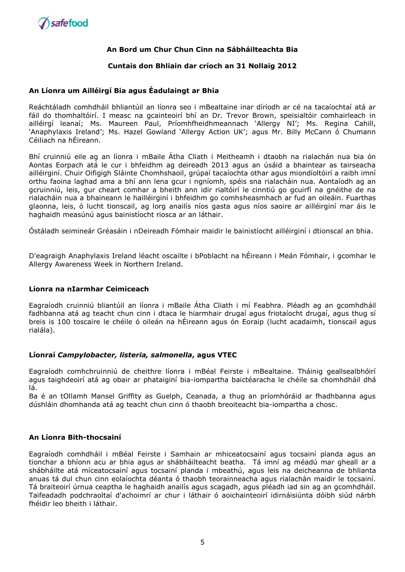

#### **Cuntais don Bhliain dar críoch an 31 Nollaig 2012**

#### **An Líonra um Ailléirgí Bia agus Éadulaingt ar Bhia**

Reáchtáladh comhdháil bhliantúil an líonra seo i mBealtaine inar díríodh ar cé na tacaíochtaí atá ar fáil do thomhaltóirí. I measc na gcainteoirí bhí an Dr. Trevor Brown, speisialtóir comhairleach in ailléiraí leanaí; Ms. Maureen Paul, Príomhfheidhmeannach 'Allergy NI'; Ms. Regina Cahill, 'Anaphylaxis Ireland'; Ms. Hazel Gowland 'Allergy Action UK'; agus Mr. Billy McCann ó Chumann Céiliach na hÉireann.

Bhí cruinniú eile ag an líonra i mBaile Átha Cliath i Meitheamh i dtaobh na rialachán nua bia ón Aontas Eorpach atá le cur i bhfeidhm ag deireadh 2013 agus an úsáid a bhaintear as tairseacha ailléirginí. Chuir Oifigigh Sláinte Chomhshaoil, grúpaí tacaíochta othar agus miondíoltóirí a raibh imní orthu faoina laghad ama a bhí ann lena gcur i ngníomh, spéis sna rialacháin nua. Aontaíodh ag an gcruinniú, leis, gur cheart comhar a bheith ann idir rialtóirí le cinntiú go gcuirfí na gnéithe de na rialacháin nua a bhaineann le hailléirginí i bhfeidhm go comhsheasmhach ar fud an oileáin. Fuarthas glaonna, leis, ó lucht tionscail, ag lorg anailís níos gasta agus níos saoire ar ailléirginí mar áis le haghaidh measúnú agus bainistíocht riosca ar an láthair.

Óstáladh seimineár Gréasáin i nDeireadh Fómhair maidir le bainistíocht ailléirginí i dtionscal an bhia.

D'eagraigh Anaphylaxis Ireland léacht oscailte i bPoblacht na hÉireann i Meán Fómhair, i gcomhar le Allergy Awareness Week in Northern Ireland.

#### **Líonra na nIarmhar Ceimiceach**

Eagraíodh cruinniú bliantúil an líonra i mBaile Átha Cliath i mí Feabhra. Pléadh ag an gcomhdháil fadhbanna atá ag teacht chun cinn i dtaca le hiarmhair drugaí agus friotaíocht drugaí, agus thug sí breis is 100 toscaire le chéile ó oileán na hÉireann agus ón Eoraip (lucht acadaimh, tionscail agus rialála).

#### **Líonraí** *Campylobacter, listeria, salmonella***, agus VTEC**

Eagraíodh comhchruinniú de cheithre líonra i mBéal Feirste i mBealtaine. Tháinig geallsealbhóirí agus taighdeoirí atá ag obair ar phataiginí bia-iompartha baictéaracha le chéile sa chomhdháil dhá lá.

Ba é an tOllamh Mansel Griffity as Guelph, Ceanada, a thug an príomhóráid ar fhadhbanna agus dúshláin dhomhanda atá ag teacht chun cinn ó thaobh breoiteacht bia-iompartha a chosc.

#### **An Líonra Bith-thocsainí**

Eagraíodh comhdháil i mBéal Feirste i Samhain ar mhiceatocsainí agus tocsainí planda agus an tionchar a bhíonn acu ar bhia agus ar shábháilteacht beatha. Tá imní ag méadú mar gheall ar a shábháilte atá míceatocsainí agus tocsainí planda i mbeathú, agus leis na deicheanna de bhlianta anuas tá dul chun cinn eolaíochta déanta ó thaobh teorainneacha agus rialachán maidir le tocsainí. Tá braiteoirí úrnua ceaptha le haghaidh anailís agus scagadh, agus pléadh iad sin ag an gcomhdháil. Taifeadadh podchraoltaí d'achoimrí ar chur i láthair ó aoichainteoirí idirnáisiúnta dóibh siúd nárbh fhéidir leo bheith i láthair.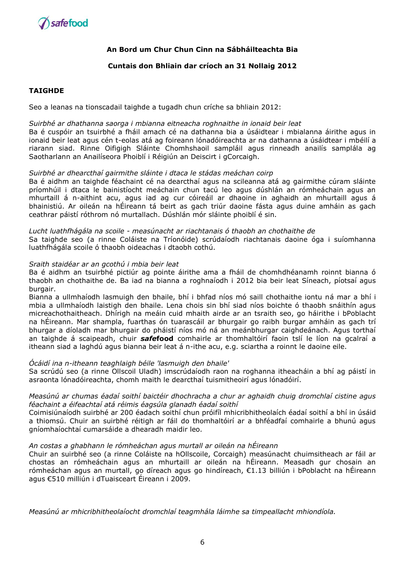

#### **Cuntais don Bhliain dar críoch an 31 Nollaig 2012**

#### **TAIGHDE**

Seo a leanas na tionscadail taighde a tugadh chun críche sa bhliain 2012:

#### *Suirbhé ar dhathanna saorga i mbianna eitneacha roghnaithe in ionaid beir leat*

Ba é cuspóir an tsuirbhé a fháil amach cé na dathanna bia a úsáidtear i mbialanna áirithe agus in ionaid beir leat agus cén t-eolas atá ag foireann lónadóireachta ar na dathanna a úsáidtear i mbéilí a riarann siad. Rinne Oifigigh Sláinte Chomhshaoil sampláil agus rinneadh anailís samplála ag Saotharlann an Anailíseora Phoiblí i Réigiún an Deiscirt i gCorcaigh.

#### *Suirbhé ar dhearcthaí gairmithe sláinte i dtaca le stádas meáchan coirp*

Ba é aidhm an taighde féachaint cé na dearcthaí agus na scileanna atá ag gairmithe cúram sláinte príomhúil i dtaca le bainistíocht meáchain chun tacú leo agus dúshlán an rómheáchain agus an mhurtaill á n-aithint acu, agus iad ag cur cóireáil ar dhaoine in aghaidh an mhurtaill agus á bhainistiú. Ar oileán na hÉireann tá beirt as gach triúr daoine fásta agus duine amháin as gach ceathrar páistí róthrom nó murtallach. Dúshlán mór sláinte phoiblí é sin.

#### *Lucht luathfhágála na scoile - measúnacht ar riachtanais ó thaobh an chothaithe de*

Sa taighde seo (a rinne Coláiste na Tríonóide) scrúdaíodh riachtanais daoine óga i suíomhanna luathfhágála scoile ó thaobh oideachas i dtaobh cothú.

#### *Sraith staidéar ar an gcothú i mbia beir leat*

Ba é aidhm an tsuirbhé pictiúr ag pointe áirithe ama a fháil de chomhdhéanamh roinnt bianna ó thaobh an chothaithe de. Ba iad na bianna a roghnaíodh i 2012 bia beir leat Síneach, píotsaí agus burgair.

Bianna a ullmhaíodh lasmuigh den bhaile, bhí i bhfad níos mó saill chothaithe iontu ná mar a bhí i mbia a ullmhaíodh laistigh den bhaile. Lena chois sin bhí siad níos boichte ó thaobh snáithín agus micreachothaitheach. Dhírigh na meáin cuid mhaith airde ar an tsraith seo, go háirithe i bPoblacht na hÉireann. Mar shampla, fuarthas ón tuarascáil ar bhurgair go raibh burgar amháin as gach trí bhurgar a díoladh mar bhurgair do pháistí níos mó ná an meánbhurgar caighdeánach. Agus torthaí an taighde á scaipeadh, chuir *safe***food** comhairle ar thomhaltóirí faoin tslí le líon na gcalraí a itheann siad a laghdú agus bianna beir leat á n-ithe acu, e.g. sciartha a roinnt le daoine eile.

#### *Ócáidí ina n-itheann teaghlaigh béile 'lasmuigh den bhaile'*

Sa scrúdú seo (a rinne Ollscoil Uladh) imscrúdaíodh raon na roghanna itheacháin a bhí ag páistí in asraonta lónadóireachta, chomh maith le dearcthaí tuismitheoirí agus lónadóirí.

#### *Measúnú ar chumas éadaí soithí baictéir dhochracha a chur ar aghaidh chuig dromchlaí cistine agus féachaint a éifeachtaí atá réimis éagsúla glanadh éadaí soithí*

Coimisiúnaíodh suirbhé ar 200 éadach soithí chun próifíl mhicribhitheolaích éadaí soithí a bhí in úsáid a thiomsú. Chuir an suirbhé réitigh ar fáil do thomhaltóirí ar a bhféadfaí comhairle a bhunú agus gníomhaíochtaí cumarsáide a dhearadh maidir leo.

#### *An costas a ghabhann le rómheáchan agus murtall ar oileán na hÉireann*

Chuir an suirbhé seo (a rinne Coláiste na hOllscoile, Corcaigh) measúnacht chuimsitheach ar fáil ar chostas an rómheáchain agus an mhurtaill ar oileán na hÉireann. Measadh gur chosain an rómheáchan agus an murtall, go díreach agus go hindíreach, €1.13 billiún i bPoblacht na hÉireann agus €510 milliún i dTuaisceart Éireann i 2009.

*Measúnú ar mhicribhitheolaíocht dromchlaí teagmhála láimhe sa timpeallacht mhiondíola.*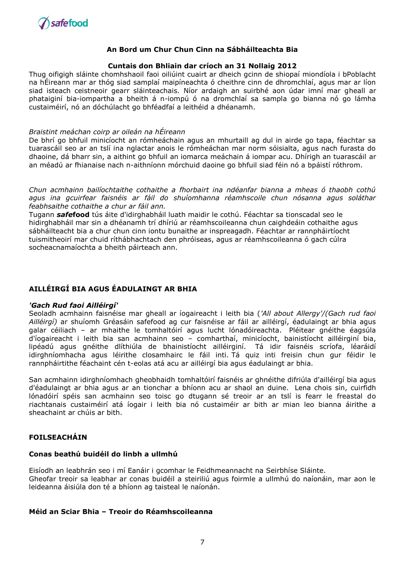

#### **Cuntais don Bhliain dar críoch an 31 Nollaig 2012**

Thug oifigigh sláinte chomhshaoil faoi oiliúint cuairt ar dheich gcinn de shiopaí miondíola i bPoblacht na hÉireann mar ar thóg siad samplaí maipíneachta ó cheithre cinn de dhromchlaí, agus mar ar líon siad isteach ceistneoir gearr sláinteachais. Níor ardaigh an suirbhé aon údar imní mar gheall ar phataiginí bia-iompartha a bheith á n-iompú ó na dromchlaí sa sampla go bianna nó go lámha custaiméirí, nó an dóchúlacht go bhféadfaí a leithéid a dhéanamh.

#### *Braistint meáchan coirp ar oileán na hÉireann*

De bhrí go bhfuil minicíocht an rómheáchain agus an mhurtaill ag dul in airde go tapa, féachtar sa tuarascáil seo ar an tslí ina nglactar anois le rómheáchan mar norm sóisialta, agus nach furasta do dhaoine, dá bharr sin, a aithint go bhfuil an iomarca meáchain á iompar acu. Dhírigh an tuarascáil ar an méadú ar fhianaise nach n-aithníonn mórchuid daoine go bhfuil siad féin nó a bpáistí róthrom.

*Chun acmhainn bailíochtaithe cothaithe a fhorbairt ina ndéanfar bianna a mheas ó thaobh cothú agus ina gcuirfear faisnéis ar fáil do shuíomhanna réamhscoile chun nósanna agus soláthar feabhsaithe cothaithe a chur ar fáil ann.* 

Tugann *safe***food** tús áite d'idirghabháil luath maidir le cothú. Féachtar sa tionscadal seo le hidirghabháil mar sin a dhéanamh trí dhíriú ar réamhscoileanna chun caighdeáin cothaithe agus sábháilteacht bia a chur chun cinn iontu bunaithe ar inspreagadh. Féachtar ar rannpháirtíocht tuismitheoirí mar chuid ríthábhachtach den phróiseas, agus ar réamhscoileanna ó gach cúlra socheacnamaíochta a bheith páirteach ann.

# **AILLÉIRGÍ BIA AGUS ÉADULAINGT AR BHIA**

#### *'Gach Rud faoi Ailléirgí'*

Seoladh acmhainn faisnéise mar gheall ar íogaireacht i leith bia (*'All about Allergy'/(Gach rud faoi Ailléirgí)* ar shuíomh Gréasáin safefood ag cur faisnéise ar fáil ar ailléirgí, éadulaingt ar bhia agus galar céiliach – ar mhaithe le tomhaltóirí agus lucht lónadóireachta. Pléitear gnéithe éagsúla d'íogaireacht i leith bia san acmhainn seo – comharthaí, minicíocht, bainistíocht ailléirginí bia, lipéadú agus gnéithe dlíthiúla de bhainistíocht ailléirginí. Tá idir faisnéis scríofa, léaráidí idirghníomhacha agus léirithe closamhairc le fáil inti. Tá quiz inti freisin chun gur féidir le rannpháirtithe féachaint cén t-eolas atá acu ar ailléirgí bia agus éadulaingt ar bhia.

San acmhainn idirghníomhach gheobhaidh tomhaltóirí faisnéis ar ghnéithe difriúla d'ailléirgí bia agus d'éadulaingt ar bhia agus ar an tionchar a bhíonn acu ar shaol an duine. Lena chois sin, cuirfidh lónadóirí spéis san acmhainn seo toisc go dtugann sé treoir ar an tslí is fearr le freastal do riachtanais custaiméirí atá íogair i leith bia nó custaiméir ar bith ar mian leo bianna áirithe a sheachaint ar chúis ar bith.

# **FOILSEACHÁIN**

#### **Conas beathú buidéil do linbh a ullmhú**

Eisíodh an leabhrán seo i mí Eanáir i gcomhar le Feidhmeannacht na Seirbhíse Sláinte. Gheofar treoir sa leabhar ar conas buidéil a steiriliú agus foirmle a ullmhú do naíonáin, mar aon le leideanna áisiúla don té a bhíonn ag taisteal le naíonán.

#### **Méid an Sciar Bhia – Treoir do Réamhscoileanna**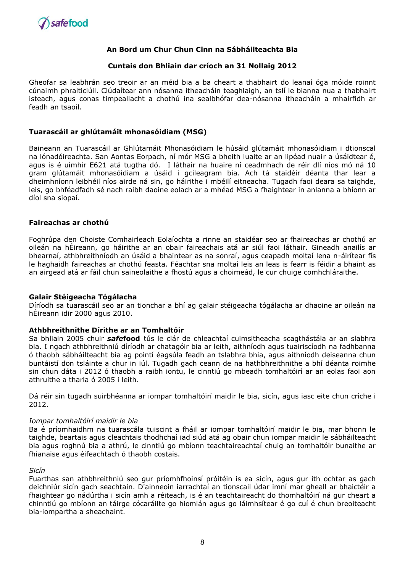

#### **Cuntais don Bhliain dar críoch an 31 Nollaig 2012**

Gheofar sa leabhrán seo treoir ar an méid bia a ba cheart a thabhairt do leanaí óga móide roinnt cúnaimh phraiticiúil. Clúdaítear ann nósanna itheacháin teaghlaigh, an tslí le bianna nua a thabhairt isteach, agus conas timpeallacht a chothú ina sealbhófar dea-nósanna itheacháin a mhairfidh ar feadh an tsaoil.

#### **Tuarascáil ar ghlútamáit mhonasóidiam (MSG)**

Baineann an Tuarascáil ar Ghlútamáit Mhonasóidiam le húsáid glútamáit mhonasóidiam i dtionscal na lónadóireachta. San Aontas Eorpach, ní mór MSG a bheith luaite ar an lipéad nuair a úsáidtear é, agus is é uimhir E621 atá tugtha dó. I láthair na huaire ní ceadmhach de réir dlí níos mó ná 10 gram glútamáit mhonasóidiam a úsáid i gcileagram bia. Ach tá staidéir déanta thar lear a dheimhníonn leibhéil níos airde ná sin, go háirithe i mbéilí eitneacha. Tugadh faoi deara sa taighde, leis, go bhféadfadh sé nach raibh daoine eolach ar a mhéad MSG a fhaightear in anlanna a bhíonn ar díol sna siopaí.

#### **Faireachas ar chothú**

Foghrúpa den Choiste Comhairleach Eolaíochta a rinne an staidéar seo ar fhaireachas ar chothú ar oileán na hÉireann, go háirithe ar an obair faireachais atá ar siúl faoi láthair. Gineadh anailís ar bhearnaí, athbhreithníodh an úsáid a bhaintear as na sonraí, agus ceapadh moltaí lena n-áirítear fís le haghaidh faireachas ar chothú feasta. Féachtar sna moltaí leis an leas is fearr is féidir a bhaint as an airgead atá ar fáil chun saineolaithe a fhostú agus a choimeád, le cur chuige comhchláraithe.

#### **Galair Stéigeacha Tógálacha**

Díríodh sa tuarascáil seo ar an tionchar a bhí ag galair stéigeacha tógálacha ar dhaoine ar oileán na hÉireann idir 2000 agus 2010.

#### **Athbhreithnithe Dírithe ar an Tomhaltóir**

Sa bhliain 2005 chuir *safe***food** tús le clár de chleachtaí cuimsitheacha scagthástála ar an slabhra bia. I ngach athbhreithniú díríodh ar chatagóir bia ar leith, aithníodh agus tuairiscíodh na fadhbanna ó thaobh sábháilteacht bia ag pointí éagsúla feadh an tslabhra bhia, agus aithníodh deiseanna chun buntáistí don tsláinte a chur in iúl. Tugadh gach ceann de na hathbhreithnithe a bhí déanta roimhe sin chun dáta i 2012 ó thaobh a raibh iontu, le cinntiú go mbeadh tomhaltóirí ar an eolas faoi aon athruithe a tharla ó 2005 i leith.

Dá réir sin tugadh suirbhéanna ar iompar tomhaltóirí maidir le bia, sicín, agus iasc eite chun críche i 2012.

#### *Iompar tomhaltóirí maidir le bia*

Ba é príomhaidhm na tuarascála tuiscint a fháil ar iompar tomhaltóirí maidir le bia, mar bhonn le taighde, beartais agus cleachtais thodhchaí iad siúd atá ag obair chun iompar maidir le sábháilteacht bia agus roghnú bia a athrú, le cinntiú go mbíonn teachtaireachtaí chuig an tomhaltóir bunaithe ar fhianaise agus éifeachtach ó thaobh costais.

#### *Sicín*

Fuarthas san athbhreithniú seo gur príomhfhoinsí próitéin is ea sicín, agus gur ith ochtar as gach deichniúr sicín gach seachtain. D'ainneoin iarrachtaí an tionscail údar imní mar gheall ar bhaictéir a fhaightear go nádúrtha i sicín amh a réiteach, is é an teachtaireacht do thomhaltóirí ná gur cheart a chinntiú go mbíonn an táirge cócaráilte go hiomlán agus go láimhsítear é go cuí é chun breoiteacht bia-iompartha a sheachaint.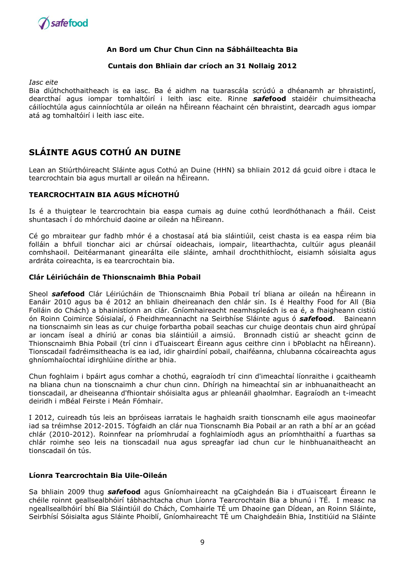

#### **Cuntais don Bhliain dar críoch an 31 Nollaig 2012**

*Iasc eite* 

Bia dlúthchothaitheach is ea iasc. Ba é aidhm na tuarascála scrúdú a dhéanamh ar bhraistintí, dearcthaí agus iompar tomhaltóirí i leith iasc eite. Rinne *safe***food** staidéir chuimsitheacha cáilíochtúla agus cainníochtúla ar oileán na hÉireann féachaint cén bhraistint, dearcadh agus iompar atá ag tomhaltóirí i leith iasc eite.

# **SLÁINTE AGUS COTHÚ AN DUINE**

Lean an Stiúrthóireacht Sláinte agus Cothú an Duine (HHN) sa bhliain 2012 dá gcuid oibre i dtaca le tearcrochtain bia agus murtall ar oileán na hÉireann.

# **TEARCROCHTAIN BIA AGUS MÍCHOTHÚ**

Is é a thuigtear le tearcrochtain bia easpa cumais ag duine cothú leordhóthanach a fháil. Ceist shuntasach í do mhórchuid daoine ar oileán na hÉireann.

Cé go mbraitear gur fadhb mhór é a chostasaí atá bia sláintiúil, ceist chasta is ea easpa réim bia folláin a bhfuil tionchar aici ar chúrsaí oideachais, iompair, litearthachta, cultúir agus pleanáil comhshaoil. Deitéarmanant ginearálta eile sláinte, amhail drochthithíocht, eisiamh sóisialta agus ardráta coireachta, is ea tearcrochtain bia.

#### **Clár Léiriúcháin de Thionscnaimh Bhia Pobail**

Sheol *safe***food** Clár Léiriúcháin de Thionscnaimh Bhia Pobail trí bliana ar oileán na hÉireann in Eanáir 2010 agus ba é 2012 an bhliain dheireanach den chlár sin. Is é Healthy Food for All (Bia Folláin do Chách) a bhainistíonn an clár. Gníomhaireacht neamhspleách is ea é, a fhaigheann cistiú ón Roinn Coimirce Sóisialaí, ó Fheidhmeannacht na Seirbhíse Sláinte agus ó *safe***food**. Baineann na tionscnaimh sin leas as cur chuige forbartha pobail seachas cur chuige deontais chun aird ghrúpaí ar ioncam íseal a dhíriú ar conas bia sláintiúil a aimsiú. Bronnadh cistiú ar sheacht gcinn de Thionscnaimh Bhia Pobail (trí cinn i dTuaisceart Éireann agus ceithre cinn i bPoblacht na hÉireann). Tionscadail fadréimsitheacha is ea iad, idir ghairdíní pobail, chaiféanna, chlubanna cócaireachta agus ghníomhaíochtaí idirghlúine dírithe ar bhia.

Chun foghlaim i bpáirt agus comhar a chothú, eagraíodh trí cinn d'imeachtaí líonraithe i gcaitheamh na bliana chun na tionscnaimh a chur chun cinn. Dhírigh na himeachtaí sin ar inbhuanaitheacht an tionscadail, ar dheiseanna d'fhiontair shóisialta agus ar phleanáil ghaolmhar. Eagraíodh an t-imeacht deiridh i mBéal Feirste i Meán Fómhair.

I 2012, cuireadh tús leis an bpróiseas iarratais le haghaidh sraith tionscnamh eile agus maoineofar iad sa tréimhse 2012-2015. Tógfaidh an clár nua Tionscnamh Bia Pobail ar an rath a bhí ar an gcéad chlár (2010-2012). Roinnfear na príomhrudaí a foghlaimíodh agus an príomhthaithí a fuarthas sa chlár roimhe seo leis na tionscadail nua agus spreagfar iad chun cur le hinbhuanaitheacht an tionscadail ón tús.

#### **Líonra Tearcrochtain Bia Uile-Oileán**

Sa bhliain 2009 thug *safe***food** agus Gníomhaireacht na gCaighdeán Bia i dTuaisceart Éireann le chéile roinnt geallsealbhóirí tábhachtacha chun Líonra Tearcrochtain Bia a bhunú i TÉ. I measc na ngeallsealbhóirí bhí Bia Sláintiúil do Chách, Comhairle TÉ um Dhaoine gan Dídean, an Roinn Sláinte, Seirbhísí Sóisialta agus Sláinte Phoiblí, Gníomhaireacht TÉ um Chaighdeáin Bhia, Institiúid na Sláinte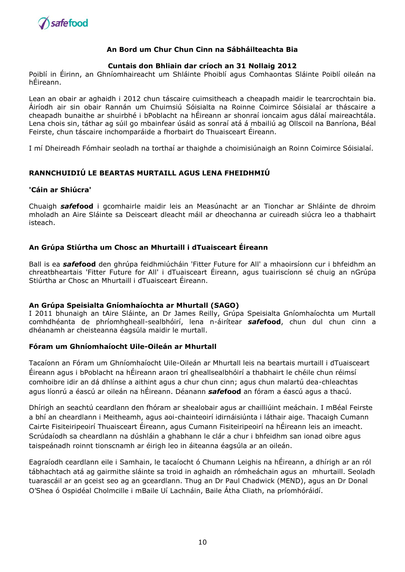

#### **Cuntais don Bhliain dar críoch an 31 Nollaig 2012**

Poiblí in Éirinn, an Ghníomhaireacht um Shláinte Phoiblí agus Comhaontas Sláinte Poiblí oileán na hÉireann.

Lean an obair ar aghaidh i 2012 chun táscaire cuimsitheach a cheapadh maidir le tearcrochtain bia. Áiríodh air sin obair Rannán um Chuimsiú Sóisialta na Roinne Coimirce Sóisialaí ar tháscaire a cheapadh bunaithe ar shuirbhé i bPoblacht na hÉireann ar shonraí ioncaim agus dálaí maireachtála. Lena chois sin, táthar ag súil go mbainfear úsáid as sonraí atá á mbailiú ag Ollscoil na Banríona, Béal Feirste, chun táscaire inchomparáide a fhorbairt do Thuaisceart Éireann.

I mí Dheireadh Fómhair seoladh na torthaí ar thaighde a choimisiúnaigh an Roinn Coimirce Sóisialaí.

### **RANNCHUIDIÚ LE BEARTAS MURTAILL AGUS LENA FHEIDHMIÚ**

## **'Cáin ar Shiúcra'**

Chuaigh *safe***food** i gcomhairle maidir leis an Measúnacht ar an Tionchar ar Shláinte de dhroim mholadh an Aire Sláinte sa Deisceart dleacht máil ar dheochanna ar cuireadh siúcra leo a thabhairt isteach.

## **An Grúpa Stiúrtha um Chosc an Mhurtaill i dTuaisceart Éireann**

Ball is ea *safe***food** den ghrúpa feidhmiúcháin 'Fitter Future for All' a mhaoirsíonn cur i bhfeidhm an chreatbheartais 'Fitter Future for All' i dTuaisceart Éireann, agus tuairiscíonn sé chuig an nGrúpa Stiúrtha ar Chosc an Mhurtaill i dTuaisceart Éireann.

#### **An Grúpa Speisialta Gníomhaíochta ar Mhurtall (SAGO)**

I 2011 bhunaigh an tAire Sláinte, an Dr James Reilly, Grúpa Speisialta Gníomhaíochta um Murtall comhdhéanta de phríomhgheall-sealbhóirí, lena n-áirítear *safe***food**, chun dul chun cinn a dhéanamh ar cheisteanna éagsúla maidir le murtall.

#### **Fóram um Ghníomhaíocht Uile-Oileán ar Mhurtall**

Tacaíonn an Fóram um Ghníomhaíocht Uile-Oileán ar Mhurtall leis na beartais murtaill i dTuaisceart Éireann agus i bPoblacht na hÉireann araon trí gheallsealbhóirí a thabhairt le chéile chun réimsí comhoibre idir an dá dhlínse a aithint agus a chur chun cinn; agus chun malartú dea-chleachtas agus líonrú a éascú ar oileán na hÉireann. Déanann *safe***food** an fóram a éascú agus a thacú.

Dhírigh an seachtú ceardlann den fhóram ar shealobair agus ar chailliúint meáchain. I mBéal Feirste a bhí an cheardlann i Meitheamh, agus aoi-chainteoirí idirnáisiúnta i láthair aige. Thacaigh Cumann Cairte Fisiteiripeoirí Thuaisceart Éireann, agus Cumann Fisiteiripeoirí na hÉireann leis an imeacht. Scrúdaíodh sa cheardlann na dúshláin a ghabhann le clár a chur i bhfeidhm san ionad oibre agus taispeánadh roinnt tionscnamh ar éirigh leo in áiteanna éagsúla ar an oileán.

Eagraíodh ceardlann eile i Samhain, le tacaíocht ó Chumann Leighis na hÉireann, a dhírigh ar an ról tábhachtach atá ag gairmithe sláinte sa troid in aghaidh an rómheáchain agus an mhurtaill. Seoladh tuarascáil ar an gceist seo ag an gceardlann. Thug an Dr Paul Chadwick (MEND), agus an Dr Donal O'Shea ó Ospidéal Cholmcille i mBaile Uí Lachnáin, Baile Átha Cliath, na príomhóráidí.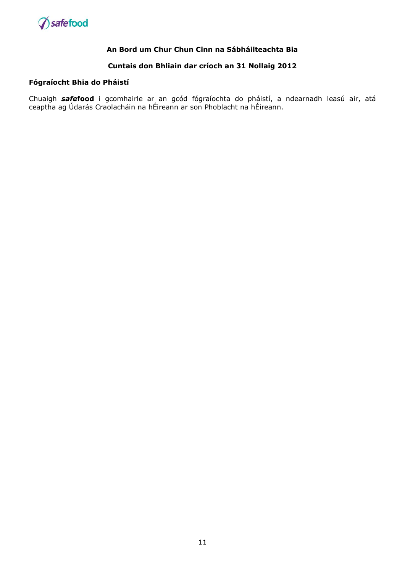

### **Cuntais don Bhliain dar críoch an 31 Nollaig 2012**

#### **Fógraíocht Bhia do Pháistí**

Chuaigh *safe***food** i gcomhairle ar an gcód fógraíochta do pháistí, a ndearnadh leasú air, atá ceaptha ag Údarás Craolacháin na hÉireann ar son Phoblacht na hÉireann.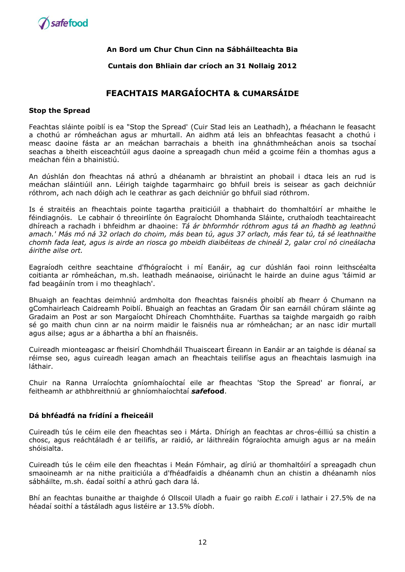

#### **Cuntais don Bhliain dar críoch an 31 Nollaig 2012**

# **FEACHTAIS MARGAÍOCHTA & CUMARSÁIDE**

#### **Stop the Spread**

Feachtas sláinte poiblí is ea "Stop the Spread' (Cuir Stad leis an Leathadh), a fhéachann le feasacht a chothú ar rómheáchan agus ar mhurtall. An aidhm atá leis an bhfeachtas feasacht a chothú i measc daoine fásta ar an meáchan barrachais a bheith ina ghnáthmheáchan anois sa tsochaí seachas a bheith eisceachtúil agus daoine a spreagadh chun méid a gcoime féin a thomhas agus a meáchan féin a bhainistiú.

An dúshlán don fheachtas ná athrú a dhéanamh ar bhraistint an phobail i dtaca leis an rud is meáchan sláintiúil ann. Léirigh taighde tagarmhairc go bhfuil breis is seisear as gach deichniúr róthrom, ach nach dóigh ach le ceathrar as gach deichniúr go bhfuil siad róthrom.

Is é straitéis an fheachtais pointe tagartha praiticiúil a thabhairt do thomhaltóirí ar mhaithe le féindiagnóis. Le cabhair ó threoirlínte ón Eagraíocht Dhomhanda Sláinte, cruthaíodh teachtaireacht dhíreach a rachadh i bhfeidhm ar dhaoine: *Tá ár bhformhór róthrom agus tá an fhadhb ag leathnú amach.' Más mó ná 32 orlach do choim, más bean tú, agus 37 orlach, más fear tú, tá sé leathnaithe chomh fada leat, agus is airde an riosca go mbeidh diaibéiteas de chineál 2, galar croí nó cineálacha áirithe ailse ort.*

Eagraíodh ceithre seachtaine d'fhógraíocht i mí Eanáir, ag cur dúshlán faoi roinn leithscéalta coitianta ar rómheáchan, m.sh. leathadh meánaoise, oiriúnacht le hairde an duine agus 'táimid ar fad beagáinín trom i mo theaghlach'.

Bhuaigh an feachtas deimhniú ardmholta don fheachtas faisnéis phoiblí ab fhearr ó Chumann na gComhairleach Caidreamh Poiblí. Bhuaigh an feachtas an Gradam Óir san earnáil chúram sláinte ag Gradaim an Post ar son Margaíocht Dhíreach Chomhtháite. Fuarthas sa taighde margaidh go raibh sé go maith chun cinn ar na noirm maidir le faisnéis nua ar rómheáchan; ar an nasc idir murtall agus ailse; agus ar a ábhartha a bhí an fhaisnéis.

Cuireadh mionteagasc ar fheisirí Chomhdháil Thuaisceart Éireann in Eanáir ar an taighde is déanaí sa réimse seo, agus cuireadh leagan amach an fheachtais teilifíse agus an fheachtais lasmuigh ina láthair.

Chuir na Ranna Urraíochta gníomhaíochtaí eile ar fheachtas 'Stop the Spread' ar fionraí, ar feitheamh ar athbhreithniú ar ghníomhaíochtaí *safe***food**.

## **Dá bhféadfá na frídíní a fheiceáil**

Cuireadh tús le céim eile den fheachtas seo i Márta. Dhírigh an feachtas ar chros-éilliú sa chistin a chosc, agus reáchtáladh é ar teilifís, ar raidió, ar láithreáin fógraíochta amuigh agus ar na meáin shóisialta.

Cuireadh tús le céim eile den fheachtas i Meán Fómhair, ag díriú ar thomhaltóirí a spreagadh chun smaoineamh ar na nithe praiticiúla a d'fhéadfaidís a dhéanamh chun an chistin a dhéanamh níos sábháilte, m.sh. éadaí soithí a athrú gach dara lá.

Bhí an feachtas bunaithe ar thaighde ó Ollscoil Uladh a fuair go raibh *E.coli* i lathair i 27.5% de na héadaí soithí a tástáladh agus listéire ar 13.5% díobh.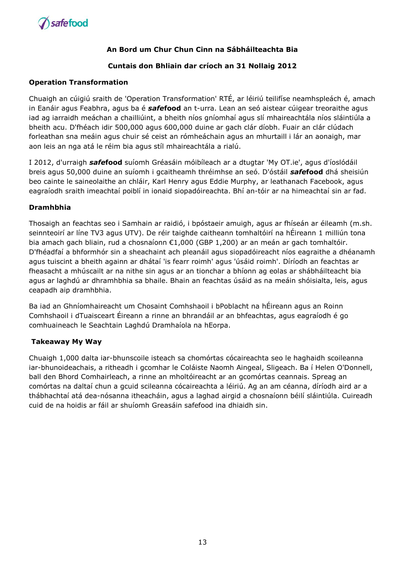

# **Cuntais don Bhliain dar críoch an 31 Nollaig 2012**

### **Operation Transformation**

Chuaigh an cúigiú sraith de 'Operation Transformation' RTÉ, ar léiriú teilifíse neamhspleách é, amach in Eanáir agus Feabhra, agus ba é *safe***food** an t-urra. Lean an seó aistear cúigear treoraithe agus iad ag iarraidh meáchan a chailliúint, a bheith níos gníomhaí agus slí mhaireachtála níos sláintiúla a bheith acu. D'fhéach idir 500,000 agus 600,000 duine ar gach clár díobh. Fuair an clár clúdach forleathan sna meáin agus chuir sé ceist an rómheáchain agus an mhurtaill i lár an aonaigh, mar aon leis an nga atá le réim bia agus stíl mhaireachtála a rialú.

I 2012, d'urraigh *safe***food** suíomh Gréasáin móibíleach ar a dtugtar 'My OT.ie', agus d'íoslódáil breis agus 50,000 duine an suíomh i gcaitheamh thréimhse an seó. D'óstáil *safe***food** dhá sheisiún beo cainte le saineolaithe an chláir, Karl Henry agus Eddie Murphy, ar leathanach Facebook, agus eagraíodh sraith imeachtaí poiblí in ionaid siopadóireachta. Bhí an-tóir ar na himeachtaí sin ar fad.

### **Dramhbhia**

Thosaigh an feachtas seo i Samhain ar raidió, i bpóstaeir amuigh, agus ar fhíseán ar éileamh (m.sh. seinnteoirí ar líne TV3 agus UTV). De réir taighde caitheann tomhaltóirí na hÉireann 1 milliún tona bia amach gach bliain, rud a chosnaíonn €1,000 (GBP 1,200) ar an meán ar gach tomhaltóir. D'fhéadfaí a bhformhór sin a sheachaint ach pleanáil agus siopadóireacht níos eagraithe a dhéanamh agus tuiscint a bheith againn ar dhátaí 'is fearr roimh' agus 'úsáid roimh'. Díríodh an feachtas ar fheasacht a mhúscailt ar na nithe sin agus ar an tionchar a bhíonn ag eolas ar shábháilteacht bia agus ar laghdú ar dhramhbhia sa bhaile. Bhain an feachtas úsáid as na meáin shóisialta, leis, agus ceapadh aip dramhbhia.

Ba iad an Ghníomhaireacht um Chosaint Comhshaoil i bPoblacht na hÉireann agus an Roinn Comhshaoil i dTuaisceart Éireann a rinne an bhrandáil ar an bhfeachtas, agus eagraíodh é go comhuaineach le Seachtain Laghdú Dramhaíola na hEorpa.

# **Takeaway My Way**

Chuaigh 1,000 dalta iar-bhunscoile isteach sa chomórtas cócaireachta seo le haghaidh scoileanna iar-bhunoideachais, a ritheadh i gcomhar le Coláiste Naomh Aingeal, Sligeach. Ba í Helen O'Donnell, ball den Bhord Comhairleach, a rinne an mholtóireacht ar an gcomórtas ceannais. Spreag an comórtas na daltaí chun a gcuid scileanna cócaireachta a léiriú. Ag an am céanna, díríodh aird ar a thábhachtaí atá dea-nósanna itheacháin, agus a laghad airgid a chosnaíonn béilí sláintiúla. Cuireadh cuid de na hoidis ar fáil ar shuíomh Greasáin safefood ina dhiaidh sin.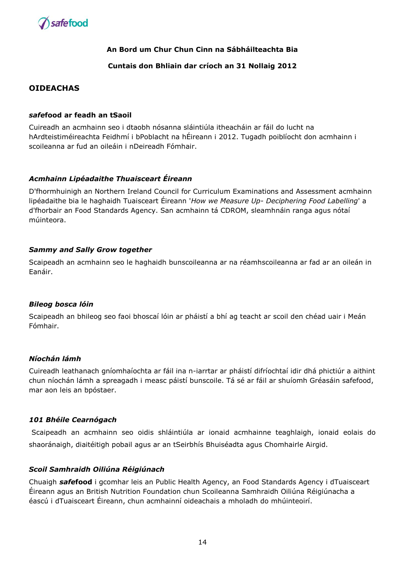

## **Cuntais don Bhliain dar críoch an 31 Nollaig 2012**

# **OIDEACHAS**

#### *safe***food ar feadh an tSaoil**

Cuireadh an acmhainn seo i dtaobh nósanna sláintiúla itheacháin ar fáil do lucht na hArdteistiméireachta Feidhmí i bPoblacht na hÉireann i 2012. Tugadh poiblíocht don acmhainn i scoileanna ar fud an oileáin i nDeireadh Fómhair.

### *Acmhainn Lipéadaithe Thuaisceart Éireann*

D'fhormhuinigh an Northern Ireland Council for Curriculum Examinations and Assessment acmhainn lipéadaithe bia le haghaidh Tuaisceart Éireann '*How we Measure Up- Deciphering Food Labelling*' a d'fhorbair an Food Standards Agency. San acmhainn tá CDROM, sleamhnáin ranga agus nótaí múinteora.

### *Sammy and Sally Grow together*

Scaipeadh an acmhainn seo le haghaidh bunscoileanna ar na réamhscoileanna ar fad ar an oileán in Eanáir.

#### *Bileog bosca lóin*

Scaipeadh an bhileog seo faoi bhoscaí lóin ar pháistí a bhí ag teacht ar scoil den chéad uair i Meán Fómhair.

#### *Níochán lámh*

Cuireadh leathanach gníomhaíochta ar fáil ina n-iarrtar ar pháistí difríochtaí idir dhá phictiúr a aithint chun níochán lámh a spreagadh i measc páistí bunscoile. Tá sé ar fáil ar shuíomh Gréasáin safefood, mar aon leis an bpóstaer.

#### *101 Bhéile Cearnógach*

Scaipeadh an acmhainn seo oidis shláintiúla ar ionaid acmhainne teaghlaigh, ionaid eolais do shaoránaigh, diaitéitigh pobail agus ar an tSeirbhís Bhuiséadta agus Chomhairle Airgid.

#### *Scoil Samhraidh Oiliúna Réigiúnach*

Chuaigh *safe***food** i gcomhar leis an Public Health Agency, an Food Standards Agency i dTuaisceart Éireann agus an British Nutrition Foundation chun Scoileanna Samhraidh Oiliúna Réigiúnacha a éascú i dTuaisceart Éireann, chun acmhainní oideachais a mholadh do mhúinteoirí.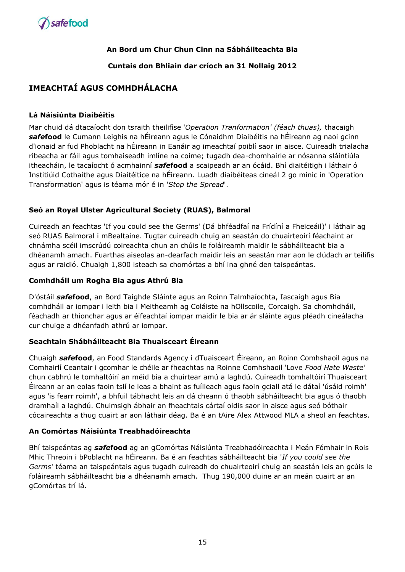

**Cuntais don Bhliain dar críoch an 31 Nollaig 2012**

# **IMEACHTAÍ AGUS COMHDHÁLACHA**

# **Lá Náisiúnta Diaibéitis**

Mar chuid dá dtacaíocht don tsraith theilifíse '*Operation Tranformation' (féach thuas),* thacaigh *safe***food** le Cumann Leighis na hÉireann agus le Cónaidhm Diaibéitis na hÉireann ag naoi gcinn d'ionaid ar fud Phoblacht na hÉireann in Eanáir ag imeachtaí poiblí saor in aisce. Cuireadh trialacha ribeacha ar fáil agus tomhaiseadh imlíne na coime; tugadh dea-chomhairle ar nósanna sláintiúla itheacháin, le tacaíocht ó acmhainní *safe***food** a scaipeadh ar an ócáid. Bhí diaitéitigh i láthair ó Institiúid Cothaithe agus Diaitéitice na hÉireann. Luadh diaibéiteas cineál 2 go minic in 'Operation Transformation' agus is téama mór é in '*Stop the Spread*'.

# **Seó an Royal Ulster Agricultural Society (RUAS), Balmoral**

Cuireadh an feachtas 'If you could see the Germs' (Dá bhféadfaí na Frídíní a Fheiceáil)' i láthair ag seó RUAS Balmoral i mBealtaine. Tugtar cuireadh chuig an seastán do chuairteoirí féachaint ar chnámha scéil imscrúdú coireachta chun an chúis le foláireamh maidir le sábháilteacht bia a dhéanamh amach. Fuarthas aiseolas an-dearfach maidir leis an seastán mar aon le clúdach ar teilifís agus ar raidió. Chuaigh 1,800 isteach sa chomórtas a bhí ina ghné den taispeántas.

# **Comhdháil um Rogha Bia agus Athrú Bia**

D'óstáil *safe***food**, an Bord Taighde Sláinte agus an Roinn Talmhaíochta, Iascaigh agus Bia comhdháil ar iompar i leith bia i Meitheamh ag Coláiste na hOllscoile, Corcaigh. Sa chomhdháil, féachadh ar thionchar agus ar éifeachtaí iompar maidir le bia ar ár sláinte agus pléadh cineálacha cur chuige a dhéanfadh athrú ar iompar.

# **Seachtain Shábháilteacht Bia Thuaisceart Éireann**

Chuaigh *safe***food**, an Food Standards Agency i dTuaisceart Éireann, an Roinn Comhshaoil agus na Comhairlí Ceantair i gcomhar le chéile ar fheachtas na Roinne Comhshaoil 'Love *Food Hate Waste'*  chun cabhrú le tomhaltóirí an méid bia a chuirtear amú a laghdú. Cuireadh tomhaltóirí Thuaisceart Éireann ar an eolas faoin tslí le leas a bhaint as fuílleach agus faoin gciall atá le dátaí 'úsáid roimh' agus 'is fearr roimh', a bhfuil tábhacht leis an dá cheann ó thaobh sábháilteacht bia agus ó thaobh dramhaíl a laghdú. Chuimsigh ábhair an fheachtais cártaí oidis saor in aisce agus seó bóthair cócaireachta a thug cuairt ar aon láthair déag. Ba é an tAire Alex Attwood MLA a sheol an feachtas.

# **An Comórtas Náisiúnta Treabhadóireachta**

Bhí taispeántas ag *safe***food** ag an gComórtas Náisiúnta Treabhadóireachta i Meán Fómhair in Rois Mhic Threoin i bPoblacht na hÉireann. Ba é an feachtas sábháilteacht bia '*If you could see the Germs*' téama an taispeántais agus tugadh cuireadh do chuairteoirí chuig an seastán leis an gcúis le foláireamh sábháilteacht bia a dhéanamh amach. Thug 190,000 duine ar an meán cuairt ar an gComórtas trí lá.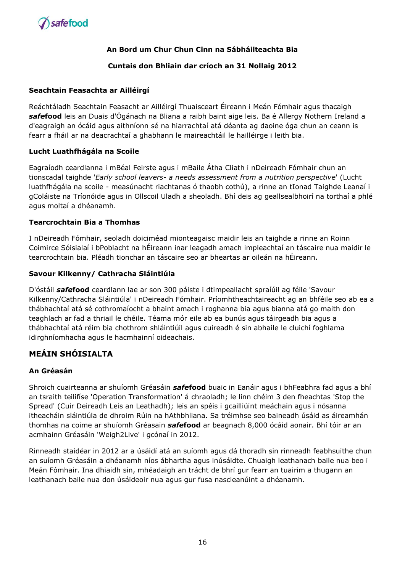

# **Cuntais don Bhliain dar críoch an 31 Nollaig 2012**

## **Seachtain Feasachta ar Ailléirgí**

Reáchtáladh Seachtain Feasacht ar Ailléirgí Thuaisceart Éireann i Meán Fómhair agus thacaigh *safe***food** leis an Duais d'Ógánach na Bliana a raibh baint aige leis. Ba é Allergy Nothern Ireland a d'eagraigh an ócáid agus aithníonn sé na hiarrachtaí atá déanta ag daoine óga chun an ceann is fearr a fháil ar na deacrachtaí a ghabhann le maireachtáil le hailléirge i leith bia.

### **Lucht Luathfhágála na Scoile**

Eagraíodh ceardlanna i mBéal Feirste agus i mBaile Átha Cliath i nDeireadh Fómhair chun an tionscadal taighde '*Early school leavers- a needs assessment from a nutrition perspective*' (Lucht luathfhágála na scoile - measúnacht riachtanas ó thaobh cothú), a rinne an tIonad Taighde Leanaí i gColáiste na Tríonóide agus in Ollscoil Uladh a sheoladh. Bhí deis ag geallsealbhoirí na torthaí a phlé agus moltaí a dhéanamh.

### **Tearcrochtain Bia a Thomhas**

I nDeireadh Fómhair, seoladh doiciméad mionteagaisc maidir leis an taighde a rinne an Roinn Coimirce Sóisialaí i bPoblacht na hÉireann inar leagadh amach impleachtaí an táscaire nua maidir le tearcrochtain bia. Pléadh tionchar an táscaire seo ar bheartas ar oileán na hÉireann.

### **Savour Kilkenny/ Cathracha Sláintiúla**

D'óstáil *safe***food** ceardlann lae ar son 300 páiste i dtimpeallacht spraíúil ag féile 'Savour Kilkenny/Cathracha Sláintiúla' i nDeireadh Fómhair. Príomhtheachtaireacht ag an bhféile seo ab ea a thábhachtaí atá sé cothromaíocht a bhaint amach i roghanna bia agus bianna atá go maith don teaghlach ar fad a thriail le chéile. Téama mór eile ab ea bunús agus táirgeadh bia agus a thábhachtaí atá réim bia chothrom shláintiúil agus cuireadh é sin abhaile le cluichí foghlama idirghníomhacha agus le hacmhainní oideachais.

# **MEÁIN SHÓISIALTA**

# **An Gréasán**

Shroich cuairteanna ar shuíomh Gréasáin *safe***food** buaic in Eanáir agus i bhFeabhra fad agus a bhí an tsraith teilifíse 'Operation Transformation' á chraoladh; le linn chéim 3 den fheachtas 'Stop the Spread' (Cuir Deireadh Leis an Leathadh); leis an spéis i gcailliúint meáchain agus i nósanna itheacháin sláintiúla de dhroim Rúin na hAthbhliana. Sa tréimhse seo baineadh úsáid as áireamhán thomhas na coime ar shuíomh Gréasain *safe***food** ar beagnach 8,000 ócáid aonair. Bhí tóir ar an acmhainn Gréasáin 'Weigh2Live' i gcónaí in 2012.

Rinneadh staidéar in 2012 ar a úsáidí atá an suíomh agus dá thoradh sin rinneadh feabhsuithe chun an suíomh Gréasáin a dhéanamh níos ábhartha agus inúsáidte. Chuaigh leathanach baile nua beo i Meán Fómhair. Ina dhiaidh sin, mhéadaigh an trácht de bhrí gur fearr an tuairim a thugann an leathanach baile nua don úsáideoir nua agus gur fusa nascleanúint a dhéanamh.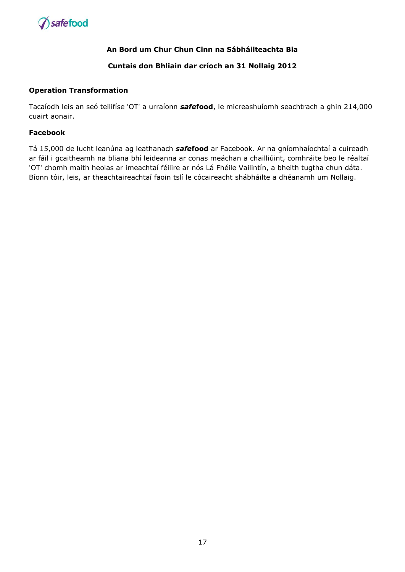

## **Cuntais don Bhliain dar críoch an 31 Nollaig 2012**

#### **Operation Transformation**

Tacaíodh leis an seó teilifíse 'OT' a urraíonn *safe***food**, le micreashuíomh seachtrach a ghin 214,000 cuairt aonair.

#### **Facebook**

Tá 15,000 de lucht leanúna ag leathanach *safe***food** ar Facebook. Ar na gníomhaíochtaí a cuireadh ar fáil i gcaitheamh na bliana bhí leideanna ar conas meáchan a chailliúint, comhráite beo le réaltaí 'OT' chomh maith heolas ar imeachtaí féilire ar nós Lá Fhéile Vailintín, a bheith tugtha chun dáta. Bíonn tóir, leis, ar theachtaireachtaí faoin tslí le cócaireacht shábháilte a dhéanamh um Nollaig.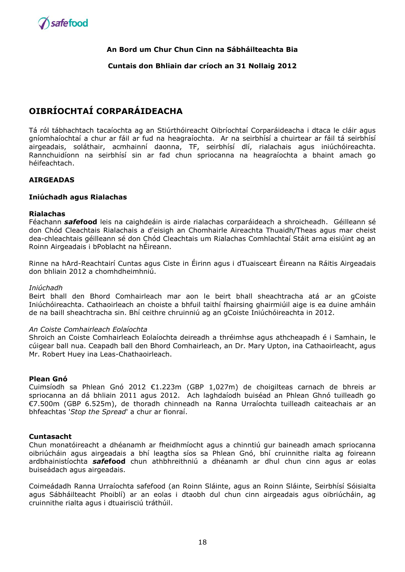

#### **Cuntais don Bhliain dar críoch an 31 Nollaig 2012**

# **OIBRÍOCHTAÍ CORPARÁIDEACHA**

Tá ról tábhachtach tacaíochta ag an Stiúrthóireacht Oibríochtaí Corparáideacha i dtaca le cláir agus gníomhaíochtaí a chur ar fáil ar fud na heagraíochta. Ar na seirbhísí a chuirtear ar fáil tá seirbhísí airgeadais, soláthair, acmhainní daonna, TF, seirbhísí dlí, rialachais agus iniúchóireachta. Rannchuidíonn na seirbhísí sin ar fad chun spriocanna na heagraíochta a bhaint amach go héifeachtach.

### **AIRGEADAS**

#### **Iniúchadh agus Rialachas**

#### **Rialachas**

Féachann *safe***food** leis na caighdeáin is airde rialachas corparáideach a shroicheadh. Géilleann sé don Chód Cleachtais Rialachais a d'eisigh an Chomhairle Aireachta Thuaidh/Theas agus mar cheist dea-chleachtais géilleann sé don Chód Cleachtais um Rialachas Comhlachtaí Stáit arna eisiúint ag an Roinn Airgeadais i bPoblacht na hÉireann.

Rinne na hArd-Reachtairí Cuntas agus Ciste in Éirinn agus i dTuaisceart Éireann na Ráitis Airgeadais don bhliain 2012 a chomhdheimhniú.

#### *Iniúchadh*

Beirt bhall den Bhord Comhairleach mar aon le beirt bhall sheachtracha atá ar an gCoiste Iniúchóireachta. Cathaoirleach an choiste a bhfuil taithí fhairsing ghairmiúil aige is ea duine amháin de na baill sheachtracha sin. Bhí ceithre chruinniú ag an gCoiste Iniúchóireachta in 2012.

#### *An Coiste Comhairleach Eolaíochta*

Shroich an Coiste Comhairleach Eolaíochta deireadh a thréimhse agus athcheapadh é i Samhain, le cúigear ball nua. Ceapadh ball den Bhord Comhairleach, an Dr. Mary Upton, ina Cathaoirleacht, agus Mr. Robert Huey ina Leas-Chathaoirleach.

#### **Plean Gnó**

Cuimsíodh sa Phlean Gnó 2012 €1.223m (GBP 1,027m) de choigilteas carnach de bhreis ar spriocanna an dá bhliain 2011 agus 2012. Ach laghdaíodh buiséad an Phlean Ghnó tuilleadh go €7.500m (GBP 6.525m), de thoradh chinneadh na Ranna Urraíochta tuilleadh caiteachais ar an bhfeachtas '*Stop the Spread*' a chur ar fionraí.

#### **Cuntasacht**

Chun monatóireacht a dhéanamh ar fheidhmíocht agus a chinntiú gur baineadh amach spriocanna oibriúcháin agus airgeadais a bhí leagtha síos sa Phlean Gnó, bhí cruinnithe rialta ag foireann ardbhainistíochta *safe***food** chun athbhreithniú a dhéanamh ar dhul chun cinn agus ar eolas buiseádach agus airgeadais.

Coimeádadh Ranna Urraíochta safefood (an Roinn Sláinte, agus an Roinn Sláinte, Seirbhísí Sóisialta agus Sábháilteacht Phoiblí) ar an eolas i dtaobh dul chun cinn airgeadais agus oibriúcháin, ag cruinnithe rialta agus i dtuairisciú tráthúil.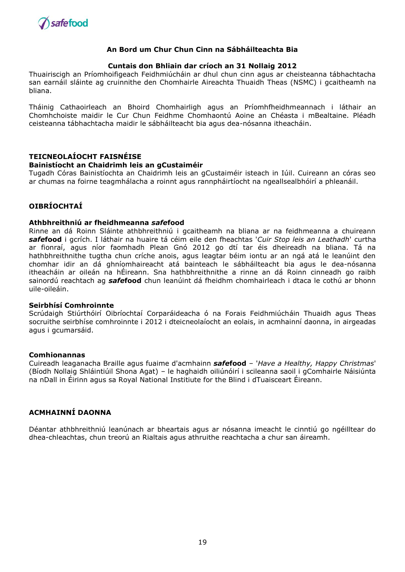

#### **Cuntais don Bhliain dar críoch an 31 Nollaig 2012**

Thuairiscigh an Príomhoifigeach Feidhmiúcháin ar dhul chun cinn agus ar cheisteanna tábhachtacha san earnáil sláinte ag cruinnithe den Chomhairle Aireachta Thuaidh Theas (NSMC) i gcaitheamh na bliana.

Tháinig Cathaoirleach an Bhoird Chomhairligh agus an Príomhfheidhmeannach i láthair an Chomhchoiste maidir le Cur Chun Feidhme Chomhaontú Aoine an Chéasta i mBealtaine. Pléadh ceisteanna tábhachtacha maidir le sábháilteacht bia agus dea-nósanna itheacháin.

### **TEICNEOLAÍOCHT FAISNÉISE**

#### **Bainistíocht an Chaidrimh leis an gCustaiméir**

Tugadh Córas Bainistíochta an Chaidrimh leis an gCustaiméir isteach in Iúil. Cuireann an córas seo ar chumas na foirne teagmhálacha a roinnt agus rannpháirtíocht na ngeallsealbhóirí a phleanáil.

# **OIBRÍOCHTAÍ**

#### **Athbhreithniú ar fheidhmeanna** *safe***food**

Rinne an dá Roinn Sláinte athbhreithniú i gcaitheamh na bliana ar na feidhmeanna a chuireann *safe***food** i gcrích. I láthair na huaire tá céim eile den fheachtas '*Cuir Stop leis an Leathadh*' curtha ar fionraí, agus níor faomhadh Plean Gnó 2012 go dtí tar éis dheireadh na bliana. Tá na hathbhreithnithe tugtha chun críche anois, agus leagtar béim iontu ar an ngá atá le leanúint den chomhar idir an dá ghníomhaireacht atá bainteach le sábháilteacht bia agus le dea-nósanna itheacháin ar oileán na hÉireann. Sna hathbhreithnithe a rinne an dá Roinn cinneadh go raibh sainordú reachtach ag *safe***food** chun leanúint dá fheidhm chomhairleach i dtaca le cothú ar bhonn uile-oileáin.

#### **Seirbhísí Comhroinnte**

Scrúdaigh Stiúrthóirí Oibríochtaí Corparáideacha ó na Forais Feidhmiúcháin Thuaidh agus Theas socruithe seirbhíse comhroinnte i 2012 i dteicneolaíocht an eolais, in acmhainní daonna, in airgeadas agus i gcumarsáid.

#### **Comhionannas**

Cuireadh leaganacha Braille agus fuaime d'acmhainn *safe***food** – '*Have a Healthy, Happy Christmas*' (Bíodh Nollaig Shláintiúil Shona Agat) – le haghaidh oiliúnóirí i scileanna saoil i gComhairle Náisiúnta na nDall in Éirinn agus sa Royal National Institiute for the Blind i dTuaisceart Éireann.

#### **ACMHAINNÍ DAONNA**

Déantar athbhreithniú leanúnach ar bheartais agus ar nósanna imeacht le cinntiú go ngéilltear do dhea-chleachtas, chun treorú an Rialtais agus athruithe reachtacha a chur san áireamh.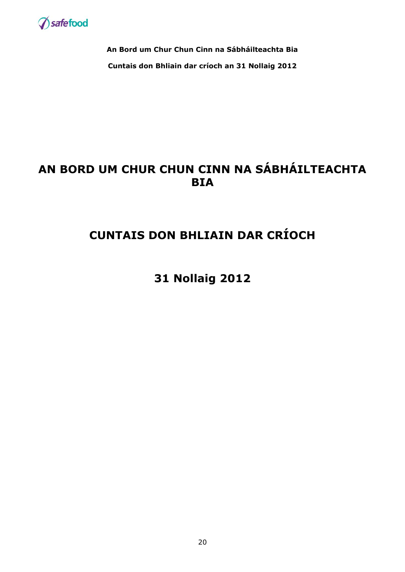

**An Bord um Chur Chun Cinn na Sábháilteachta Bia Cuntais don Bhliain dar críoch an 31 Nollaig 2012**

# **AN BORD UM CHUR CHUN CINN NA SÁBHÁILTEACHTA BIA**

# **CUNTAIS DON BHLIAIN DAR CRÍOCH**

**31 Nollaig 2012**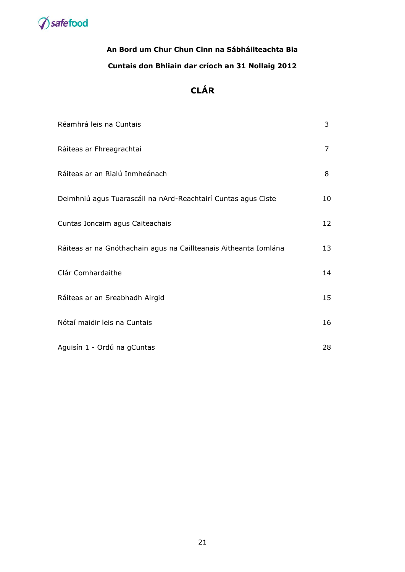

# **An Bord um Chur Chun Cinn na Sábháilteachta Bia Cuntais don Bhliain dar críoch an 31 Nollaig 2012**

# **CLÁR**

| Réamhrá leis na Cuntais                                          | 3  |
|------------------------------------------------------------------|----|
| Ráiteas ar Fhreagrachtaí                                         | 7  |
| Ráiteas ar an Rialú Inmheánach                                   | 8  |
| Deimhniú agus Tuarascáil na nArd-Reachtairí Cuntas agus Ciste    | 10 |
| Cuntas Ioncaim agus Caiteachais                                  | 12 |
| Ráiteas ar na Gnóthachain agus na Caillteanais Aitheanta Iomlána | 13 |
| Clár Comhardaithe                                                | 14 |
| Ráiteas ar an Sreabhadh Airgid                                   | 15 |
| Nótaí maidir leis na Cuntais                                     | 16 |
| Aguisín 1 - Ordú na gCuntas                                      | 28 |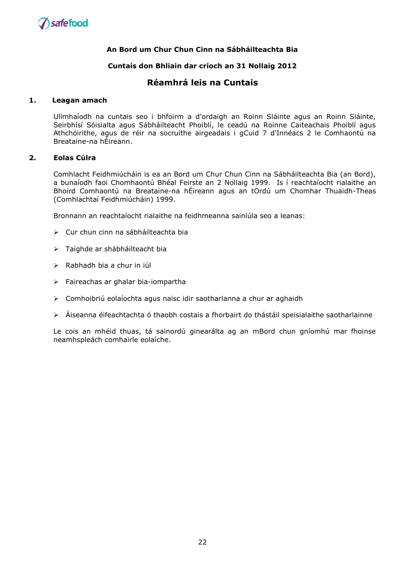

#### **Cuntais don Bhliain dar críoch an 31 Nollaig 2012**

# **Réamhrá leis na Cuntais**

#### **1. Leagan amach**

Ullmhaíodh na cuntais seo i bhfoirm a d'ordaigh an Roinn Sláinte agus an Roinn Sláinte, Seirbhísí Sóisialta agus Sábháilteacht Phoiblí, le ceadú na Roinne Caiteachais Phoiblí agus Athchóirithe, agus de réir na socruithe airgeadais i gCuid 7 d'Innéacs 2 le Comhaontú na Breataine-na hÉireann.

#### **2. Eolas Cúlra**

Comhlacht Feidhmiúcháin is ea an Bord um Chur Chun Cinn na Sábháilteachta Bia (an Bord), a bunaíodh faoi Chomhaontú Bhéal Feirste an 2 Nollaig 1999. Is í reachtaíocht rialaithe an Bhoird Comhaontú na Breataine-na hÉireann agus an tOrdú um Chomhar Thuaidh-Theas (Comhlachtaí Feidhmiúcháin) 1999.

Bronnann an reachtaíocht rialaithe na feidhmeanna sainiúla seo a leanas:

- Cur chun cinn na sábháilteachta bia
- > Taighde ar shábháilteacht bia
- $\triangleright$  Rabhadh bia a chur in iúl
- $\triangleright$  Faireachas ar ghalar bia-iompartha
- Comhoibriú eolaíochta agus naisc idir saotharlanna a chur ar aghaidh
- $\triangleright$  Áiseanna éifeachtachta ó thaobh costais a fhorbairt do thástáil speisialaithe saotharlainne

Le cois an mhéid thuas, tá sainordú ginearálta ag an mBord chun gníomhú mar fhoinse neamhspleách comhairle eolaíche.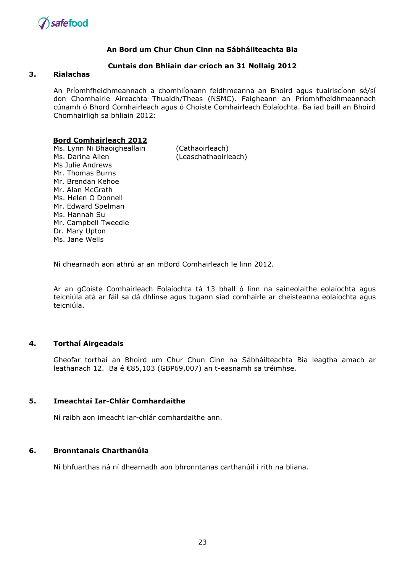

#### **Cuntais don Bhliain dar críoch an 31 Nollaig 2012**

#### **3. Rialachas**

An Príomhfheidhmeannach a chomhlíonann feidhmeanna an Bhoird agus tuairiscíonn sé/sí don Chomhairle Aireachta Thuaidh/Theas (NSMC). Faigheann an Príomhfheidhmeannach cúnamh ó Bhord Comhairleach agus ó Choiste Comhairleach Eolaíochta. Ba iad baill an Bhoird Chomhairligh sa bhliain 2012:

#### **Bord Comhairleach 2012**

Ms. Lynn Ni Bhaoigheallain (Cathaoirleach) Ms. Darina Allen (Leaschathaoirleach) Ms Julie Andrews Mr. Thomas Burns Mr. Brendan Kehoe Mr. Alan McGrath Ms. Helen O Donnell Mr. Edward Spelman Ms. Hannah Su Mr. Campbell Tweedie Dr. Mary Upton Ms. Jane Wells

Ní dhearnadh aon athrú ar an mBord Comhairleach le linn 2012.

Ar an gCoiste Comhairleach Eolaíochta tá 13 bhall ó linn na saineolaithe eolaíochta agus teicniúla atá ar fáil sa dá dhlínse agus tugann siad comhairle ar cheisteanna eolaíochta agus teicniúla.

#### **4. Torthaí Airgeadais**

Gheofar torthaí an Bhoird um Chur Chun Cinn na Sábháilteachta Bia leagtha amach ar leathanach 12. Ba é €85,103 (GBP69,007) an t-easnamh sa tréimhse.

#### **5. Imeachtaí Iar-Chlár Comhardaithe**

Ní raibh aon imeacht iar-chlár comhardaithe ann.

## **6. Bronntanais Charthanúla**

Ní bhfuarthas ná ní dhearnadh aon bhronntanas carthanúil i rith na bliana.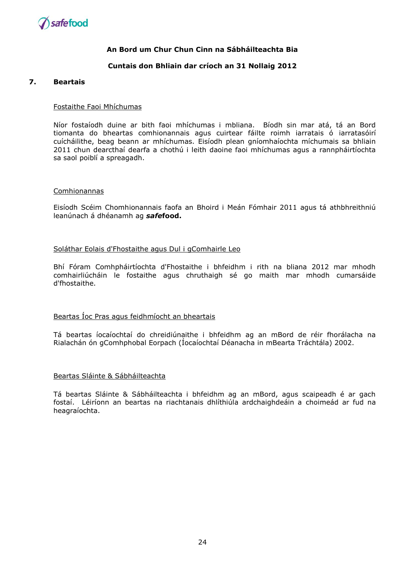

#### **Cuntais don Bhliain dar críoch an 31 Nollaig 2012**

#### **7. Beartais**

#### Fostaithe Faoi Mhíchumas

Níor fostaíodh duine ar bith faoi mhíchumas i mbliana. Bíodh sin mar atá, tá an Bord tiomanta do bheartas comhionannais agus cuirtear fáilte roimh iarratais ó iarratasóirí cuícháilithe, beag beann ar mhíchumas. Eisíodh plean gníomhaíochta míchumais sa bhliain 2011 chun dearcthaí dearfa a chothú i leith daoine faoi mhíchumas agus a rannpháirtíochta sa saol poiblí a spreagadh.

#### Comhionannas

Eisíodh Scéim Chomhionannais faofa an Bhoird i Meán Fómhair 2011 agus tá athbhreithniú leanúnach á dhéanamh ag *safe***food.**

#### Soláthar Eolais d'Fhostaithe agus Dul i gComhairle Leo

Bhí Fóram Comhpháirtíochta d'Fhostaithe i bhfeidhm i rith na bliana 2012 mar mhodh comhairliúcháin le fostaithe agus chruthaigh sé go maith mar mhodh cumarsáide d'fhostaithe.

# Beartas Íoc Pras agus feidhmíocht an bheartais

Tá beartas íocaíochtaí do chreidiúnaithe i bhfeidhm ag an mBord de réir fhorálacha na Rialachán ón gComhphobal Eorpach (Íocaíochtaí Déanacha in mBearta Tráchtála) 2002.

#### Beartas Sláinte & Sábháilteachta

Tá beartas Sláinte & Sábháilteachta i bhfeidhm ag an mBord, agus scaipeadh é ar gach fostaí. Léiríonn an beartas na riachtanais dhlíthiúla ardchaighdeáin a choimeád ar fud na heagraíochta.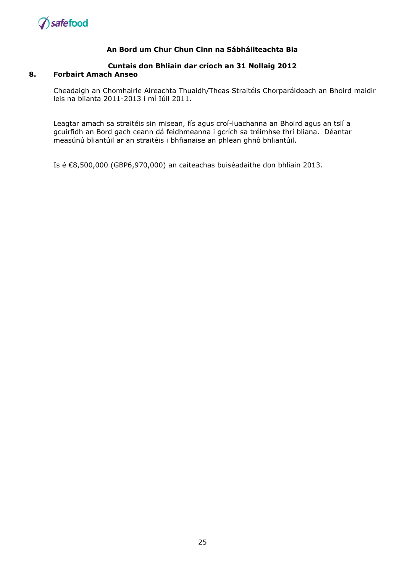

#### **Cuntais don Bhliain dar críoch an 31 Nollaig 2012 8. Forbairt Amach Anseo**

Cheadaigh an Chomhairle Aireachta Thuaidh/Theas Straitéis Chorparáideach an Bhoird maidir leis na blianta 2011-2013 i mí Iúil 2011.

Leagtar amach sa straitéis sin misean, fís agus croí-luachanna an Bhoird agus an tslí a gcuirfidh an Bord gach ceann dá feidhmeanna i gcrích sa tréimhse thrí bliana. Déantar measúnú bliantúil ar an straitéis i bhfianaise an phlean ghnó bhliantúil.

Is é €8,500,000 (GBP6,970,000) an caiteachas buiséadaithe don bhliain 2013.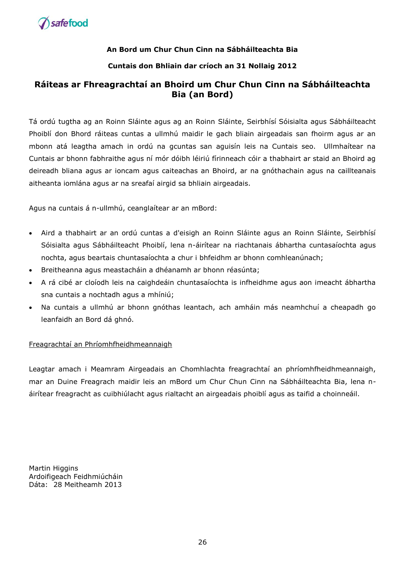

# **Cuntais don Bhliain dar críoch an 31 Nollaig 2012**

# **Ráiteas ar Fhreagrachtaí an Bhoird um Chur Chun Cinn na Sábháilteachta Bia (an Bord)**

Tá ordú tugtha ag an Roinn Sláinte agus ag an Roinn Sláinte, Seirbhísí Sóisialta agus Sábháilteacht Phoiblí don Bhord ráiteas cuntas a ullmhú maidir le gach bliain airgeadais san fhoirm agus ar an mbonn atá leagtha amach in ordú na gcuntas san aguisín leis na Cuntais seo. Ullmhaítear na Cuntais ar bhonn fabhraithe agus ní mór dóibh léiriú fírinneach cóir a thabhairt ar staid an Bhoird ag deireadh bliana agus ar ioncam agus caiteachas an Bhoird, ar na gnóthachain agus na caillteanais aitheanta iomlána agus ar na sreafaí airgid sa bhliain airgeadais.

Agus na cuntais á n-ullmhú, ceanglaítear ar an mBord:

- Aird a thabhairt ar an ordú cuntas a d'eisigh an Roinn Sláinte agus an Roinn Sláinte, Seirbhísí Sóisialta agus Sábháilteacht Phoiblí, lena n-áirítear na riachtanais ábhartha cuntasaíochta agus nochta, agus beartais chuntasaíochta a chur i bhfeidhm ar bhonn comhleanúnach;
- Breitheanna agus meastacháin a dhéanamh ar bhonn réasúnta;
- A rá cibé ar cloíodh leis na caighdeáin chuntasaíochta is infheidhme agus aon imeacht ábhartha sna cuntais a nochtadh agus a mhíniú;
- Na cuntais a ullmhú ar bhonn gnóthas leantach, ach amháin más neamhchuí a cheapadh go leanfaidh an Bord dá ghnó.

# Freagrachtaí an Phríomhfheidhmeannaigh

Leagtar amach i Meamram Airgeadais an Chomhlachta freagrachtaí an phríomhfheidhmeannaigh, mar an Duine Freagrach maidir leis an mBord um Chur Chun Cinn na Sábháilteachta Bia, lena náirítear freagracht as cuibhiúlacht agus rialtacht an airgeadais phoiblí agus as taifid a choinneáil.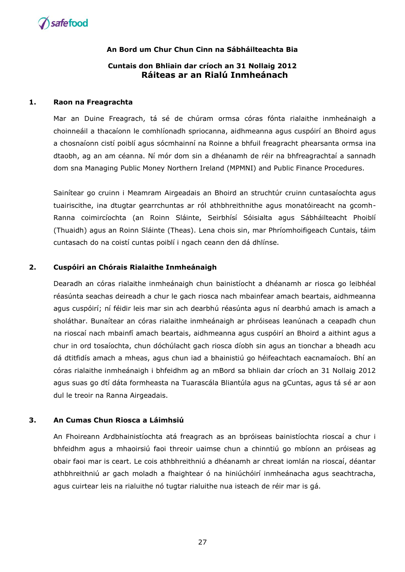

# **Cuntais don Bhliain dar críoch an 31 Nollaig 2012 Ráiteas ar an Rialú Inmheánach**

#### **1. Raon na Freagrachta**

Mar an Duine Freagrach, tá sé de chúram ormsa córas fónta rialaithe inmheánaigh a choinneáil a thacaíonn le comhlíonadh spriocanna, aidhmeanna agus cuspóirí an Bhoird agus a chosnaíonn cistí poiblí agus sócmhainní na Roinne a bhfuil freagracht phearsanta ormsa ina dtaobh, ag an am céanna. Ní mór dom sin a dhéanamh de réir na bhfreagrachtaí a sannadh dom sna Managing Public Money Northern Ireland (MPMNI) and Public Finance Procedures.

Sainítear go cruinn i Meamram Airgeadais an Bhoird an struchtúr cruinn cuntasaíochta agus tuairiscithe, ina dtugtar gearrchuntas ar ról athbhreithnithe agus monatóireacht na gcomh-Ranna coimircíochta (an Roinn Sláinte, Seirbhísí Sóisialta agus Sábháilteacht Phoiblí (Thuaidh) agus an Roinn Sláinte (Theas). Lena chois sin, mar Phríomhoifigeach Cuntais, táim cuntasach do na coistí cuntas poiblí i ngach ceann den dá dhlínse.

#### **2. Cuspóiri an Chórais Rialaithe Inmheánaigh**

Dearadh an córas rialaithe inmheánaigh chun bainistíocht a dhéanamh ar riosca go leibhéal réasúnta seachas deireadh a chur le gach riosca nach mbainfear amach beartais, aidhmeanna agus cuspóirí; ní féidir leis mar sin ach dearbhú réasúnta agus ní dearbhú amach is amach a sholáthar. Bunaítear an córas rialaithe inmheánaigh ar phróiseas leanúnach a ceapadh chun na rioscaí nach mbainfí amach beartais, aidhmeanna agus cuspóirí an Bhoird a aithint agus a chur in ord tosaíochta, chun dóchúlacht gach riosca díobh sin agus an tionchar a bheadh acu dá dtitfidís amach a mheas, agus chun iad a bhainistiú go héifeachtach eacnamaíoch. Bhí an córas rialaithe inmheánaigh i bhfeidhm ag an mBord sa bhliain dar críoch an 31 Nollaig 2012 agus suas go dtí dáta formheasta na Tuarascála Bliantúla agus na gCuntas, agus tá sé ar aon dul le treoir na Ranna Airgeadais.

#### **3. An Cumas Chun Riosca a Láimhsiú**

An Fhoireann Ardbhainistíochta atá freagrach as an bpróiseas bainistíochta rioscaí a chur i bhfeidhm agus a mhaoirsiú faoi threoir uaimse chun a chinntiú go mbíonn an próiseas ag obair faoi mar is ceart. Le cois athbhreithniú a dhéanamh ar chreat iomlán na rioscaí, déantar athbhreithniú ar gach moladh a fhaightear ó na hiniúchóirí inmheánacha agus seachtracha, agus cuirtear leis na rialuithe nó tugtar rialuithe nua isteach de réir mar is gá.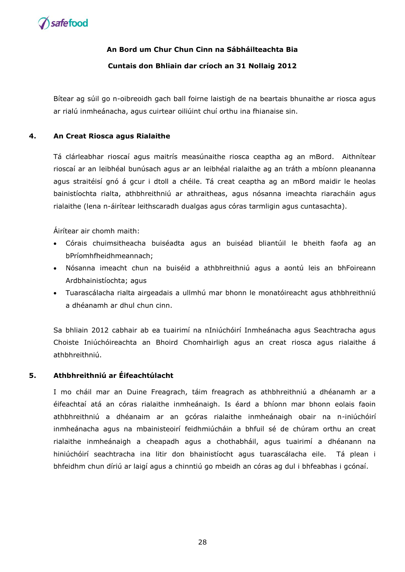

# **Cuntais don Bhliain dar críoch an 31 Nollaig 2012**

Bítear ag súil go n-oibreoidh gach ball foirne laistigh de na beartais bhunaithe ar riosca agus ar rialú inmheánacha, agus cuirtear oiliúint chuí orthu ina fhianaise sin.

# **4. An Creat Riosca agus Rialaithe**

Tá clárleabhar rioscaí agus maitrís measúnaithe riosca ceaptha ag an mBord. Aithnítear rioscaí ar an leibhéal bunúsach agus ar an leibhéal rialaithe ag an tráth a mbíonn pleananna agus straitéisí gnó á gcur i dtoll a chéile. Tá creat ceaptha ag an mBord maidir le heolas bainistíochta rialta, athbhreithniú ar athraitheas, agus nósanna imeachta riaracháin agus rialaithe (lena n-áirítear leithscaradh dualgas agus córas tarmligin agus cuntasachta).

Áirítear air chomh maith:

- Córais chuimsitheacha buiséadta agus an buiséad bliantúil le bheith faofa ag an bPríomhfheidhmeannach;
- Nósanna imeacht chun na buiséid a athbhreithniú agus a aontú leis an bhFoireann Ardbhainistíochta; agus
- Tuarascálacha rialta airgeadais a ullmhú mar bhonn le monatóireacht agus athbhreithniú a dhéanamh ar dhul chun cinn.

Sa bhliain 2012 cabhair ab ea tuairimí na nIniúchóirí Inmheánacha agus Seachtracha agus Choiste Iniúchóireachta an Bhoird Chomhairligh agus an creat riosca agus rialaithe á athbhreithniú.

# **5. Athbhreithniú ar Éifeachtúlacht**

I mo cháil mar an Duine Freagrach, táim freagrach as athbhreithniú a dhéanamh ar a éifeachtaí atá an córas rialaithe inmheánaigh. Is éard a bhíonn mar bhonn eolais faoin athbhreithniú a dhéanaim ar an gcóras rialaithe inmheánaigh obair na n-iniúchóirí inmheánacha agus na mbainisteoirí feidhmiúcháin a bhfuil sé de chúram orthu an creat rialaithe inmheánaigh a cheapadh agus a chothabháil, agus tuairimí a dhéanann na hiniúchóirí seachtracha ina litir don bhainistíocht agus tuarascálacha eile. Tá plean i bhfeidhm chun díriú ar laigí agus a chinntiú go mbeidh an córas ag dul i bhfeabhas i gcónaí.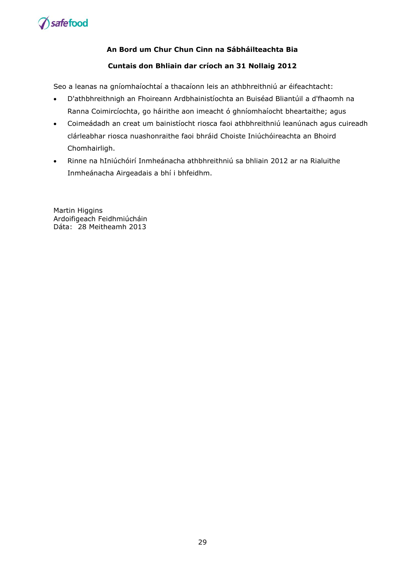

# **Cuntais don Bhliain dar críoch an 31 Nollaig 2012**

Seo a leanas na gníomhaíochtaí a thacaíonn leis an athbhreithniú ar éifeachtacht:

- D'athbhreithnigh an Fhoireann Ardbhainistíochta an Buiséad Bliantúil a d'fhaomh na Ranna Coimircíochta, go háirithe aon imeacht ó ghníomhaíocht bheartaithe; agus
- Coimeádadh an creat um bainistíocht riosca faoi athbhreithniú leanúnach agus cuireadh clárleabhar riosca nuashonraithe faoi bhráid Choiste Iniúchóireachta an Bhoird Chomhairligh.
- Rinne na hIniúchóirí Inmheánacha athbhreithniú sa bhliain 2012 ar na Rialuithe Inmheánacha Airgeadais a bhí i bhfeidhm.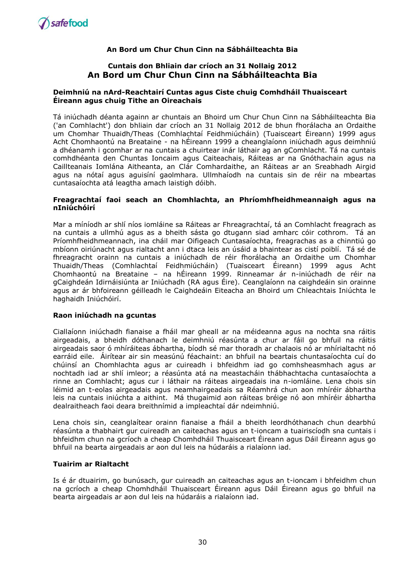

# **Cuntais don Bhliain dar críoch an 31 Nollaig 2012 An Bord um Chur Chun Cinn na Sábháilteachta Bia**

#### **Deimhniú na nArd-Reachtairí Cuntas agus Ciste chuig Comhdháil Thuaisceart Éireann agus chuig Tithe an Oireachais**

Tá iniúchadh déanta againn ar chuntais an Bhoird um Chur Chun Cinn na Sábháilteachta Bia ('an Comhlacht') don bhliain dar críoch an 31 Nollaig 2012 de bhun fhorálacha an Ordaithe um Chomhar Thuaidh/Theas (Comhlachtaí Feidhmiúcháin) (Tuaisceart Éireann) 1999 agus Acht Chomhaontú na Breataine - na hÉireann 1999 a cheanglaíonn iniúchadh agus deimhniú a dhéanamh i gcomhar ar na cuntais a chuirtear inár láthair ag an gComhlacht. Tá na cuntais comhdhéanta den Chuntas Ioncaim agus Caiteachais, Ráiteas ar na Gnóthachain agus na Caillteanais Iomlána Aitheanta, an Clár Comhardaithe, an Ráiteas ar an Sreabhadh Airgid agus na nótaí agus aguisíní gaolmhara. Ullmhaíodh na cuntais sin de réir na mbeartas cuntasaíochta atá leagtha amach laistigh dóibh.

#### **Freagrachtaí faoi seach an Chomhlachta, an Phríomhfheidhmeannaigh agus na nIniúchóirí**

Mar a míníodh ar shlí níos iomláine sa Ráiteas ar Fhreagrachtaí, tá an Comhlacht freagrach as na cuntais a ullmhú agus as a bheith sásta go dtugann siad amharc cóir cothrom. Tá an Príomhfheidhmeannach, ina cháil mar Oifigeach Cuntasaíochta, freagrachas as a chinntiú go mbíonn oiriúnacht agus rialtacht ann i dtaca leis an úsáid a bhaintear as cistí poiblí. Tá sé de fhreagracht orainn na cuntais a iniúchadh de réir fhorálacha an Ordaithe um Chomhar Thuaidh/Theas (Comhlachtaí Feidhmiúcháin) (Tuaisceart Éireann) 1999 agus Acht Chomhaontú na Breataine – na hÉireann 1999. Rinneamar ár n-iniúchadh de réir na gCaighdeán Idirnáisiúnta ar Iniúchadh (RA agus Éire). Ceanglaíonn na caighdeáin sin orainne agus ar ár bhfoireann géilleadh le Caighdeáin Eiteacha an Bhoird um Chleachtais Iniúchta le haghaidh Iniúchóirí.

#### **Raon iniúchadh na gcuntas**

Ciallaíonn iniúchadh fianaise a fháil mar gheall ar na méideanna agus na nochta sna ráitis airgeadais, a bheidh dóthanach le deimhniú réasúnta a chur ar fáil go bhfuil na ráitis airgeadais saor ó mhíráiteas ábhartha, bíodh sé mar thoradh ar chalaois nó ar mhírialtacht nó earráid eile. Áirítear air sin measúnú féachaint: an bhfuil na beartais chuntasaíochta cuí do chúinsí an Chomhlachta agus ar cuireadh i bhfeidhm iad go comhsheasmhach agus ar nochtadh iad ar shlí imleor; a réasúnta atá na meastacháin thábhachtacha cuntasaíochta a rinne an Comhlacht; agus cur i láthair na ráiteas airgeadais ina n-iomláine. Lena chois sin léimid an t-eolas airgeadais agus neamhairgeadais sa Réamhrá chun aon mhíréir ábhartha leis na cuntais iniúchta a aithint. Má thugaimid aon ráiteas bréige nó aon mhíréir ábhartha dealraitheach faoi deara breithnímid a impleachtaí dár ndeimhniú.

Lena chois sin, ceanglaítear orainn fianaise a fháil a bheith leordhóthanach chun dearbhú réasúnta a thabhairt gur cuireadh an caiteachas agus an t-ioncam a tuairiscíodh sna cuntais i bhfeidhm chun na gcríoch a cheap Chomhdháil Thuaisceart Éireann agus Dáil Éireann agus go bhfuil na bearta airgeadais ar aon dul leis na húdaráis a rialaíonn iad.

#### **Tuairim ar Rialtacht**

Is é ár dtuairim, go bunúsach, gur cuireadh an caiteachas agus an t-ioncam i bhfeidhm chun na gcríoch a cheap Chomhdháil Thuaisceart Éireann agus Dáil Éireann agus go bhfuil na bearta airgeadais ar aon dul leis na húdaráis a rialaíonn iad.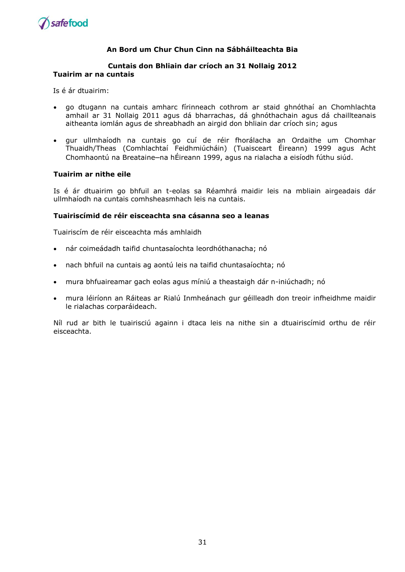

#### **Cuntais don Bhliain dar críoch an 31 Nollaig 2012 Tuairim ar na cuntais**

Is é ár dtuairim:

- go dtugann na cuntais amharc fírinneach cothrom ar staid ghnóthaí an Chomhlachta amhail ar 31 Nollaig 2011 agus dá bharrachas, dá ghnóthachain agus dá chaillteanais aitheanta iomlán agus de shreabhadh an airgid don bhliain dar críoch sin; agus
- gur ullmhaíodh na cuntais go cuí de réir fhorálacha an Ordaithe um Chomhar Thuaidh/Theas (Comhlachtaí Feidhmiúcháin) (Tuaisceart Éireann) 1999 agus Acht Chomhaontú na Breataine–na hÉireann 1999, agus na rialacha a eisíodh fúthu siúd.

#### **Tuairim ar nithe eile**

Is é ár dtuairim go bhfuil an t-eolas sa Réamhrá maidir leis na mbliain airgeadais dár ullmhaíodh na cuntais comhsheasmhach leis na cuntais.

#### **Tuairiscímid de réir eisceachta sna cásanna seo a leanas**

Tuairiscím de réir eisceachta más amhlaidh

- nár coimeádadh taifid chuntasaíochta leordhóthanacha; nó
- nach bhfuil na cuntais ag aontú leis na taifid chuntasaíochta; nó
- mura bhfuaireamar gach eolas agus míniú a theastaigh dár n-iniúchadh; nó
- mura léiríonn an Ráiteas ar Rialú Inmheánach gur géilleadh don treoir infheidhme maidir le rialachas corparáideach.

Níl rud ar bith le tuairisciú againn i dtaca leis na nithe sin a dtuairiscímid orthu de réir eisceachta.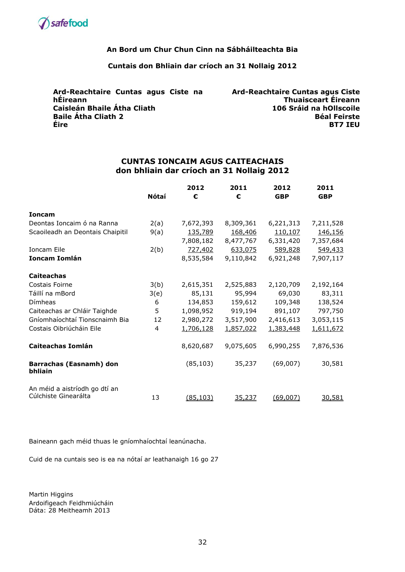

## **Cuntais don Bhliain dar críoch an 31 Nollaig 2012**

| Ard-Reachtaire Cuntas agus Ciste na | <b>Ard-Reachtaire Cuntas agus Ciste</b> |
|-------------------------------------|-----------------------------------------|
| hÉireann                            | Thuaisceart Éireann                     |
| Caisleán Bhaile Átha Cliath         | 106 Sráid na hOllscoile                 |
| <b>Baile Átha Cliath 2</b>          | <b>Béal Feirste</b>                     |
| Éire                                | <b>BT7 IEU</b>                          |

### **CUNTAS IONCAIM AGUS CAITEACHAIS don bhliain dar críoch an 31 Nollaig 2012**

|                                                       |       | 2012      | 2011      | 2012       | 2011       |
|-------------------------------------------------------|-------|-----------|-----------|------------|------------|
|                                                       | Nótaí | €         | €         | <b>GBP</b> | <b>GBP</b> |
| <b>Ioncam</b>                                         |       |           |           |            |            |
| Deontas Ioncaim ó na Ranna                            | 2(a)  | 7,672,393 | 8,309,361 | 6,221,313  | 7,211,528  |
| Scaoileadh an Deontais Chaipitil                      | 9(a)  | 135,789   | 168,406   | 110,107    | 146,156    |
|                                                       |       | 7,808,182 | 8,477,767 | 6,331,420  | 7,357,684  |
| Ioncam Eile                                           | 2(b)  | 727,402   | 633,075   | 589,828    | 549,433    |
| Ioncam Iomlán                                         |       | 8,535,584 | 9,110,842 | 6,921,248  | 7,907,117  |
| <b>Caiteachas</b>                                     |       |           |           |            |            |
| Costais Foirne                                        | 3(b)  | 2,615,351 | 2,525,883 | 2,120,709  | 2,192,164  |
| Táillí na mBord                                       | 3(e)  | 85,131    | 95,994    | 69,030     | 83,311     |
| Dímheas                                               | 6     | 134,853   | 159,612   | 109,348    | 138,524    |
| Caiteachas ar Chláir Taighde                          | 5     | 1,098,952 | 919,194   | 891,107    | 797,750    |
| Gníomhaíochtaí Tionscnaimh Bia                        | 12    | 2,980,272 | 3,517,900 | 2,416,613  | 3,053,115  |
| Costais Oibriúcháin Eile                              | 4     | 1,706,128 | 1,857,022 | 1,383,448  | 1,611,672  |
| <b>Caiteachas Iomlán</b>                              |       | 8,620,687 | 9,075,605 | 6,990,255  | 7,876,536  |
| Barrachas (Easnamh) don<br>bhliain                    |       | (85, 103) | 35,237    | (69,007)   | 30,581     |
| An méid a aistríodh go dtí an<br>Cúlchiste Ginearálta | 13    | (85, 103) | 35,237    | (69,007)   | 30,581     |

Baineann gach méid thuas le gníomhaíochtaí leanúnacha.

Cuid de na cuntais seo is ea na nótaí ar leathanaigh 16 go 27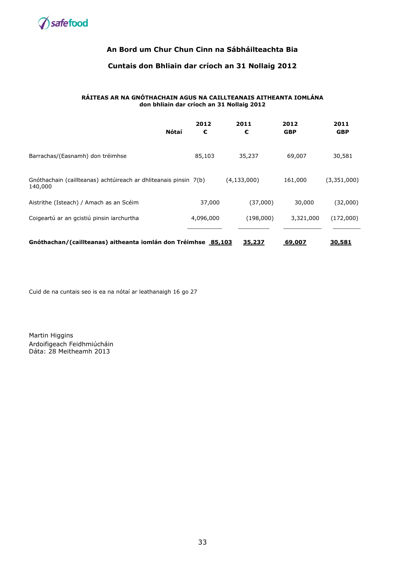

# **Cuntais don Bhliain dar críoch an 31 Nollaig 2012**

#### **RÁITEAS AR NA GNÓTHACHAIN AGUS NA CAILLTEANAIS AITHEANTA IOMLÁNA don bhliain dar críoch an 31 Nollaig 2012**

| Nótaí                                                                       | 2012<br>€ | 2011<br>€     | 2012<br><b>GBP</b> | 2011<br><b>GBP</b> |
|-----------------------------------------------------------------------------|-----------|---------------|--------------------|--------------------|
| Barrachas/(Easnamh) don tréimhse                                            | 85,103    | 35,237        | 69,007             | 30,581             |
| Gnóthachain (caillteanas) achtúireach ar dhliteanais pinsin 7(b)<br>140,000 |           | (4, 133, 000) | 161,000            | (3,351,000)        |
| Aistrithe (Isteach) / Amach as an Scéim                                     | 37,000    | (37,000)      | 30,000             | (32,000)           |
| Coigeartú ar an gcistiú pinsin iarchurtha                                   | 4,096,000 | (198,000)     | 3,321,000          | (172,000)          |
| Gnóthachan/(caillteanas) aitheanta iomlán don Tréimhse 85,103               |           | 35,237        | 69,007             | 30,581             |

Cuid de na cuntais seo is ea na nótaí ar leathanaigh 16 go 27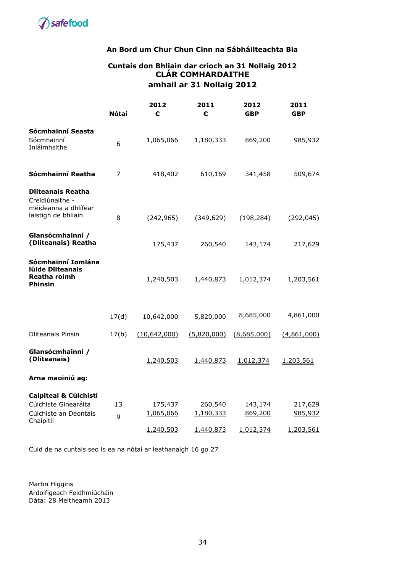

# **Cuntais don Bhliain dar críoch an 31 Nollaig 2012 CLÁR COMHARDAITHE amhail ar 31 Nollaig 2012**

|                                                                                            | Nótaí   | 2012<br>€            | 2011<br>€            | 2012<br><b>GBP</b> | 2011<br><b>GBP</b> |
|--------------------------------------------------------------------------------------------|---------|----------------------|----------------------|--------------------|--------------------|
| Sócmhainní Seasta<br>Sócmhainní<br>Inláimhsithe                                            | 6       | 1,065,066            | 1,180,333            | 869,200            | 985,932            |
| Sócmhainní Reatha                                                                          | 7       | 418,402              | 610,169              | 341,458            | 509,674            |
| <b>Dliteanais Reatha</b><br>Creidiúnaithe -<br>méideanna a dhlífear<br>laistigh de bhliain | 8       | (242, 965)           | (349, 629)           | (198, 284)         | (292, 045)         |
| Glansócmhainní /<br>(Dliteanais) Reatha                                                    |         | 175,437              | 260,540              | 143,174            | 217,629            |
| Sócmhainní Iomlána<br>lúide Dliteanais<br><b>Reatha roimh</b><br><b>Phinsin</b>            |         | 1,240,503            | 1,440,873            | 1,012,374          | 1,203,561          |
|                                                                                            | 17(d)   | 10,642,000           | 5,820,000            | 8,685,000          | 4,861,000          |
| <b>Dliteanais Pinsin</b>                                                                   | 17(b)   | (10, 642, 000)       | (5,820,000)          | (8,685,000)        | (4,861,000)        |
| Glansócmhainní /<br>(Dliteanais)                                                           |         | 1,240,503            | 1,440,873            | 1,012,374          | 1,203,561          |
| Arna maoiniú ag:                                                                           |         |                      |                      |                    |                    |
| Caipiteal & Cúlchistí<br>Cúlchiste Ginearálta<br>Cúlchiste an Deontais<br>Chaipitil        | 13<br>9 | 175,437<br>1,065,066 | 260,540<br>1,180,333 | 143,174<br>869,200 | 217,629<br>985,932 |
|                                                                                            |         | 1,240,503            | 1,440,873            | 1,012,374          | 1,203,561          |

Cuid de na cuntais seo is ea na nótaí ar leathanaigh 16 go 27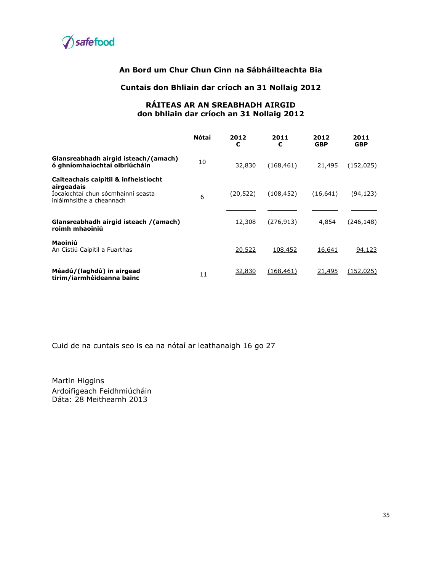

#### **Cuntais don Bhliain dar críoch an 31 Nollaig 2012**

### **RÁITEAS AR AN SREABHADH AIRGID don bhliain dar críoch an 31 Nollaig 2012**

|                                                                                                                      | <b>Nótaí</b> | 2012<br>€ | 2011<br>€  | 2012<br><b>GBP</b> | 2011<br><b>GBP</b> |
|----------------------------------------------------------------------------------------------------------------------|--------------|-----------|------------|--------------------|--------------------|
| Glansreabhadh airgid isteach/(amach)<br>ó ghníomhaíochtaí oibriúcháin                                                | 10           | 32,830    | (168, 461) | 21,495             | (152, 025)         |
| Caiteachais caipitil & infheistiocht<br>airgeadais<br>Iocaíochtaí chun sócmhainní seasta<br>inláimhsithe a cheannach | 6            | (20, 522) | (108, 452) | (16, 641)          | (94, 123)          |
| Glansreabhadh airgid isteach /(amach)<br>roimh mhaoiniú                                                              |              | 12,308    | (276, 913) | 4,854              | (246,148)          |
| Maoiniú<br>An Cistiú Caipitil a Fuarthas                                                                             |              | 20,522    | 108,452    | 16,641             | 94,123             |
| Méadú/(laghdú) in airgead<br>tirim/iarmhéideanna bainc                                                               | 11           | 32,830    | (168.461)  | 21,495             | (152,025)          |

Cuid de na cuntais seo is ea na nótaí ar leathanaigh 16 go 27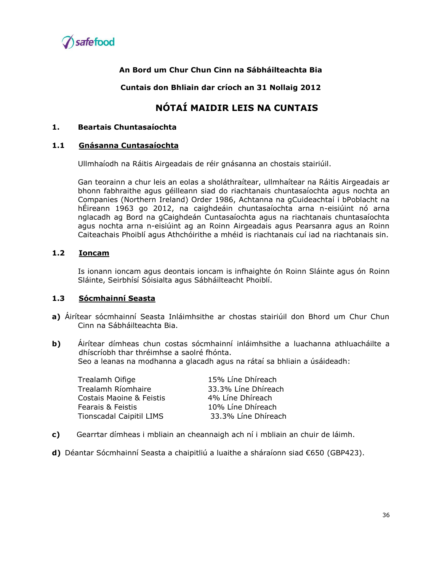

**Cuntais don Bhliain dar críoch an 31 Nollaig 2012**

# **NÓTAÍ MAIDIR LEIS NA CUNTAIS**

## **1. Beartais Chuntasaíochta**

#### **1.1 Gnásanna Cuntasaíochta**

Ullmhaíodh na Ráitis Airgeadais de réir gnásanna an chostais stairiúil.

Gan teorainn a chur leis an eolas a sholáthraítear, ullmhaítear na Ráitis Airgeadais ar bhonn fabhraithe agus géilleann siad do riachtanais chuntasaíochta agus nochta an Companies (Northern Ireland) Order 1986, Achtanna na gCuideachtaí i bPoblacht na hÉireann 1963 go 2012, na caighdeáin chuntasaíochta arna n-eisiúint nó arna nglacadh ag Bord na gCaighdeán Cuntasaíochta agus na riachtanais chuntasaíochta agus nochta arna n-eisiúint ag an Roinn Airgeadais agus Pearsanra agus an Roinn Caiteachais Phoiblí agus Athchóirithe a mhéid is riachtanais cuí iad na riachtanais sin.

#### **1.2 Ioncam**

Is ionann ioncam agus deontais ioncam is infhaighte ón Roinn Sláinte agus ón Roinn Sláinte, Seirbhísí Sóisialta agus Sábháilteacht Phoiblí.

#### **1.3 Sócmhainní Seasta**

- **a)** Áirítear sócmhainní Seasta Inláimhsithe ar chostas stairiúil don Bhord um Chur Chun Cinn na Sábháilteachta Bia.
- **b)** Áirítear dímheas chun costas sócmhainní inláimhsithe a luachanna athluacháilte a dhíscríobh thar thréimhse a saolré fhónta. Seo a leanas na modhanna a glacadh agus na rátaí sa bhliain a úsáideadh:

Trealamh Oifige 15% Líne Dhíreach Trealamh Ríomhaire 33.3% Líne Dhíreach Costais Maoine & Feistis **4% Line Dhireach** Fearais & Feistis 10% Líne Dhíreach Tionscadal Caipitil LIMS 33.3% Líne Dhíreach

- **c)** Gearrtar dímheas i mbliain an cheannaigh ach ní i mbliain an chuir de láimh.
- **d)** Déantar Sócmhainní Seasta a chaipitliú a luaithe a sháraíonn siad €650 (GBP423).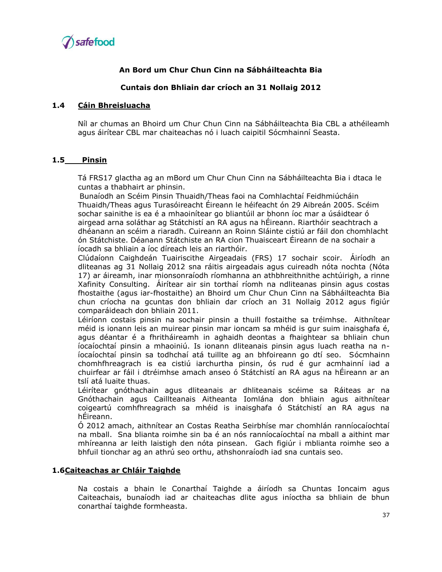

#### **Cuntais don Bhliain dar críoch an 31 Nollaig 2012**

#### **1.4 Cáin Bhreisluacha**

Níl ar chumas an Bhoird um Chur Chun Cinn na Sábháilteachta Bia CBL a athéileamh agus áirítear CBL mar chaiteachas nó i luach caipitil Sócmhainní Seasta.

#### **1.5 Pinsin**

Tá FRS17 glactha ag an mBord um Chur Chun Cinn na Sábháilteachta Bia i dtaca le cuntas a thabhairt ar phinsin.

Bunaíodh an Scéim Pinsin Thuaidh/Theas faoi na Comhlachtaí Feidhmiúcháin Thuaidh/Theas agus Turasóireacht Éireann le héifeacht ón 29 Aibreán 2005. Scéim sochar sainithe is ea é a mhaoinítear go bliantúil ar bhonn íoc mar a úsáidtear ó airgead arna soláthar ag Státchistí an RA agus na hÉireann. Riarthóir seachtrach a dhéanann an scéim a riaradh. Cuireann an Roinn Sláinte cistiú ar fáil don chomhlacht ón Státchiste. Déanann Státchiste an RA cion Thuaisceart Éireann de na sochair a íocadh sa bhliain a íoc díreach leis an riarthóir.

Clúdaíonn Caighdeán Tuairiscithe Airgeadais (FRS) 17 sochair scoir. Áiríodh an dliteanas ag 31 Nollaig 2012 sna ráitis airgeadais agus cuireadh nóta nochta (Nóta 17) ar áireamh, inar mionsonraíodh ríomhanna an athbhreithnithe achtúirigh, a rinne Xafinity Consulting. Áirítear air sin torthaí ríomh na ndliteanas pinsin agus costas fhostaithe (agus iar-fhostaithe) an Bhoird um Chur Chun Cinn na Sábháilteachta Bia chun críocha na gcuntas don bhliain dar críoch an 31 Nollaig 2012 agus figiúr comparáideach don bhliain 2011.

Léiríonn costais pinsin na sochair pinsin a thuill fostaithe sa tréimhse. Aithnítear méid is ionann leis an muirear pinsin mar ioncam sa mhéid is gur suim inaisghafa é, agus déantar é a fhritháireamh in aghaidh deontas a fhaightear sa bhliain chun íocaíochtaí pinsin a mhaoiniú. Is ionann dliteanais pinsin agus luach reatha na níocaíochtaí pinsin sa todhchaí atá tuillte ag an bhfoireann go dtí seo. Sócmhainn chomhfhreagrach is ea cistiú iarchurtha pinsin, ós rud é gur acmhainní iad a chuirfear ar fáil i dtréimhse amach anseo ó Státchistí an RA agus na hÉireann ar an tslí atá luaite thuas.

Léirítear gnóthachain agus dliteanais ar dhliteanais scéime sa Ráiteas ar na Gnóthachain agus Caillteanais Aitheanta Iomlána don bhliain agus aithnítear coigeartú comhfhreagrach sa mhéid is inaisghafa ó Státchistí an RA agus na hÉireann.

Ó 2012 amach, aithnítear an Costas Reatha Seirbhíse mar chomhlán ranníocaíochtaí na mball. Sna blianta roimhe sin ba é an nós ranníocaíochtaí na mball a aithint mar mhíreanna ar leith laistigh den nóta pinsean. Gach figiúr i mblianta roimhe seo a bhfuil tionchar ag an athrú seo orthu, athshonraíodh iad sna cuntais seo.

#### **1.6Caiteachas ar Chláir Taighde**

Na costais a bhain le Conarthaí Taighde a áiríodh sa Chuntas Ioncaim agus Caiteachais, bunaíodh iad ar chaiteachas dlite agus iníoctha sa bhliain de bhun conarthaí taighde formheasta.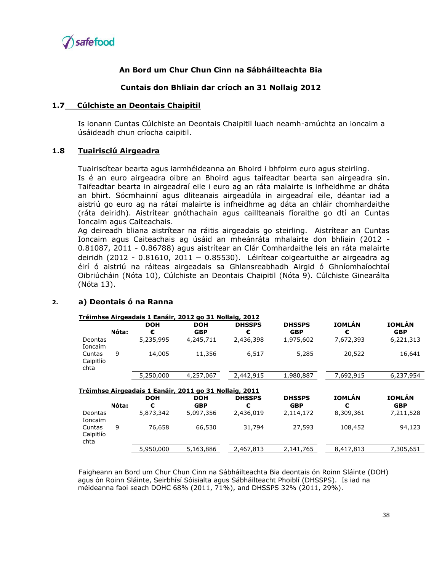

#### **Cuntais don Bhliain dar críoch an 31 Nollaig 2012**

#### **1.7 Cúlchiste an Deontais Chaipitil**

Is ionann Cuntas Cúlchiste an Deontais Chaipitil luach neamh-amúchta an ioncaim a úsáideadh chun críocha caipitil.

#### **1.8 Tuairisciú Airgeadra**

Tuairiscítear bearta agus iarmhéideanna an Bhoird i bhfoirm euro agus steirling. Is é an euro airgeadra oibre an Bhoird agus taifeadtar bearta san airgeadra sin. Taifeadtar bearta in airgeadraí eile i euro ag an ráta malairte is infheidhme ar dháta an bhirt. Sócmhainní agus dliteanais airgeadúla in airgeadraí eile, déantar iad a aistriú go euro ag na rátaí malairte is infheidhme ag dáta an chláir chomhardaithe (ráta deiridh). Aistrítear gnóthachain agus caillteanais fíoraithe go dtí an Cuntas Ioncaim agus Caiteachais.

Ag deireadh bliana aistrítear na ráitis airgeadais go steirling. Aistrítear an Cuntas Ioncaim agus Caiteachais ag úsáid an mheánráta mhalairte don bhliain (2012 - 0.81087, 2011 - 0.86788) agus aistrítear an Clár Comhardaithe leis an ráta malairte deiridh (2012 - 0.81610, 2011 – 0.85530). Léirítear coigeartuithe ar airgeadra ag éirí ó aistriú na ráiteas airgeadais sa Ghlansreabhadh Airgid ó Ghníomhaíochtaí Oibriúcháin (Nóta 10), Cúlchiste an Deontais Chaipitil (Nóta 9). Cúlchiste Ginearálta (Nóta 13).

#### **2. a) Deontais ó na Ranna**

|                             |       |            | Tréimhse Airgeadais 1 Eanáir, 2012 go 31 Nollaig, 2012               |               |               |               |               |
|-----------------------------|-------|------------|----------------------------------------------------------------------|---------------|---------------|---------------|---------------|
|                             |       | <b>DOH</b> | DOH                                                                  | <b>DHSSPS</b> | <b>DHSSPS</b> | <b>IOMLÁN</b> | <b>IOMLÁN</b> |
|                             | Nóta: | €          | <b>GBP</b>                                                           | €             | <b>GBP</b>    | €             | <b>GBP</b>    |
| Deontas<br>Ioncaim          |       | 5,235,995  | 4,245,711                                                            | 2,436,398     | 1,975,602     | 7,672,393     | 6,221,313     |
| Cuntas<br>Caipitlío<br>chta | 9     | 14,005     | 11,356                                                               | 6,517         | 5,285         | 20,522        | 16,641        |
|                             |       | 5,250,000  | 4,257,067                                                            | 2,442,915     | 1,980,887     | 7,692,915     | 6,237,954     |
|                             |       | <b>DOH</b> | Tréimhse Airgeadais 1 Eanáir, 2011 go 31 Nollaig, 2011<br><b>DOH</b> | <b>DHSSPS</b> | <b>DHSSPS</b> | <b>IOMLÁN</b> | <b>IOMLÁN</b> |
|                             | Nóta: | €          | <b>GBP</b>                                                           | €             | <b>GBP</b>    | €             | <b>GBP</b>    |
| Deontas<br>Ioncaim          |       | 5,873,342  | 5,097,356                                                            | 2,436,019     | 2,114,172     | 8,309,361     | 7,211,528     |
| Cuntas<br>Caipitlío<br>chta | 9     | 76,658     | 66,530                                                               | 31,794        | 27,593        | 108,452       | 94,123        |
|                             |       | 5,950,000  | 5,163,886                                                            | 2,467,813     | 2,141,765     | 8,417,813     | 7,305,651     |

Faigheann an Bord um Chur Chun Cinn na Sábháilteachta Bia deontais ón Roinn Sláinte (DOH) agus ón Roinn Sláinte, Seirbhísí Sóisialta agus Sábháilteacht Phoiblí (DHSSPS). Is iad na méideanna faoi seach DOHC 68% (2011, 71%), and DHSSPS 32% (2011, 29%).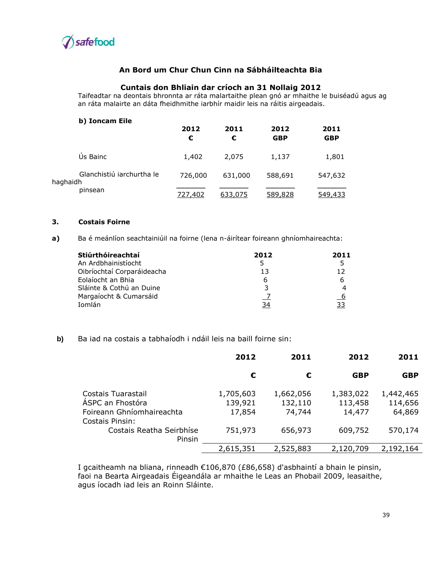

#### **Cuntais don Bhliain dar críoch an 31 Nollaig 2012**

Taifeadtar na deontais bhronnta ar ráta malartaithe plean gnó ar mhaithe le buiséadú agus ag an ráta malairte an dáta fheidhmithe iarbhír maidir leis na ráitis airgeadais.

| b) Ioncam Eile                        | 2012<br>€ | 2011<br>€ | 2012<br><b>GBP</b> | 2011<br><b>GBP</b> |
|---------------------------------------|-----------|-----------|--------------------|--------------------|
| Us Bainc                              | 1,402     | 2,075     | 1,137              | 1,801              |
| Glanchistiú iarchurtha le<br>haghaidh | 726,000   | 631,000   | 588,691            | 547,632            |
| pinsean                               | 727,402   | 633,075   | 589,828            | 549,433            |

#### **3. Costais Foirne**

**a)** Ba é meánlíon seachtainiúil na foirne (lena n-áirítear foireann ghníomhaireachta:

| Stiúrthóireachtaí          | 2012 | 2011 |
|----------------------------|------|------|
| An Ardbhainistíocht        | 5    | 5    |
| Oibríochtaí Corparáideacha | 13   | 12   |
| Eolaíocht an Bhia          | 6    | 6    |
| Sláinte & Cothú an Duine   | 3    |      |
| Margaíocht & Cumarsáid     |      | - 6  |
| Iomlán                     | 34   | 33   |

## **b)** Ba iad na costais a tabhaíodh i ndáil leis na baill foirne sin:

|                                                                                        | 2012                           | 2011                           | 2012                           | 2011                           |
|----------------------------------------------------------------------------------------|--------------------------------|--------------------------------|--------------------------------|--------------------------------|
|                                                                                        | €                              | €                              | <b>GBP</b>                     | <b>GBP</b>                     |
| Costais Tuarastail<br>ÁSPC an Fhostóra<br>Foireann Ghníomhaireachta<br>Costais Pinsin: | 1,705,603<br>139,921<br>17,854 | 1,662,056<br>132,110<br>74,744 | 1,383,022<br>113,458<br>14,477 | 1,442,465<br>114,656<br>64,869 |
| Costais Reatha Seirbhíse<br>Pinsin                                                     | 751,973                        | 656,973                        | 609,752                        | 570,174                        |
|                                                                                        | 2,615,351                      | 2,525,883                      | 2,120,709                      | 2,192,164                      |

I gcaitheamh na bliana, rinneadh €106,870 (£86,658) d'asbhaintí a bhain le pinsin, faoi na Bearta Airgeadais Éigeandála ar mhaithe le Leas an Phobail 2009, leasaithe, agus íocadh iad leis an Roinn Sláinte.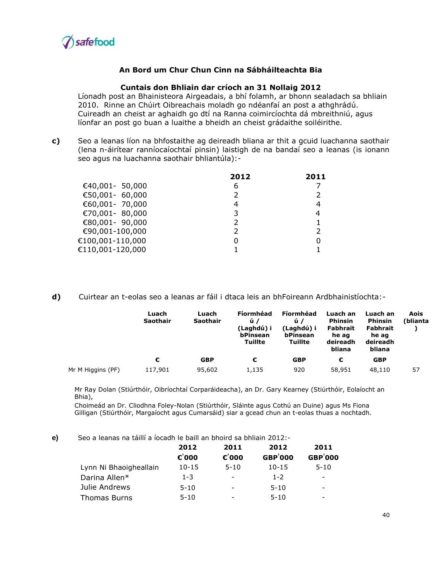

#### **Cuntais don Bhliain dar críoch an 31 Nollaig 2012**

Líonadh post an Bhainisteora Airgeadais, a bhí folamh, ar bhonn sealadach sa bhliain 2010. Rinne an Chúirt Oibreachais moladh go ndéanfaí an post a athghrádú. Cuireadh an cheist ar aghaidh go dtí na Ranna coimircíochta dá mbreithniú, agus líonfar an post go buan a luaithe a bheidh an cheist grádaithe soiléirithe.

**c)** Seo a leanas líon na bhfostaithe ag deireadh bliana ar thit a gcuid luachanna saothair (lena n-áirítear ranníocaíochtaí pinsin) laistigh de na bandaí seo a leanas (is ionann seo agus na luachanna saothair bhliantúla):-

|                  | 2012 | 2011          |
|------------------|------|---------------|
| €40,001- 50,000  | 6    |               |
| €50,001- 60,000  |      | $\mathcal{P}$ |
| €60,001- 70,000  | 4    | 4             |
| €70,001-80,000   | 3    | 4             |
| €80,001- 90,000  |      |               |
| €90,001-100,000  |      |               |
| €100,001-110,000 |      |               |
| €110,001-120,000 |      |               |
|                  |      |               |

**d)** Cuirtear an t-eolas seo a leanas ar fáil i dtaca leis an bhFoireann Ardbhainistíochta:-

|                   | Luach<br><b>Saothair</b> | Luach<br><b>Saothair</b> | Fíormhéad<br>ú/<br>(Laghdú) i<br>bPinsean<br><b>Tuillte</b> | Fíormhéad<br>ú/<br>(Laghdú) i<br>bPinsean<br><b>Tuillte</b> | Luach an<br><b>Phinsin</b><br><b>Fabhrait</b><br>he ag<br>deireadh<br>bliana | Luach an<br>Phinsin<br><b>Fabhrait</b><br>he ag<br>deireadh<br>bliana | Aois<br>(blianta |
|-------------------|--------------------------|--------------------------|-------------------------------------------------------------|-------------------------------------------------------------|------------------------------------------------------------------------------|-----------------------------------------------------------------------|------------------|
|                   | €                        | <b>GBP</b>               | €                                                           | <b>GBP</b>                                                  | €                                                                            | <b>GBP</b>                                                            |                  |
| Mr M Higgins (PF) | 117,901                  | 95,602                   | 1,135                                                       | 920                                                         | 58,951                                                                       | 48,110                                                                | 57               |

Mr Ray Dolan (Stiúrthóir, Oibríochtaí Corparáideacha), an Dr. Gary Kearney (Stiúrthóir, Eolaíocht an Bhia),

Choimeád an Dr. Cliodhna Foley-Nolan (Stiúrthóir, Sláinte agus Cothú an Duine) agus Ms Fiona Gilligan (Stiúrthóir, Margaíocht agus Cumarsáid) siar a gcead chun an t-eolas thuas a nochtadh.

**e)** Seo a leanas na táillí a íocadh le baill an bhoird sa bhliain 2012:-

|                        | 2012<br>$\varepsilon$ '000 | 2011<br>$\varepsilon$ '000 | 2012<br><b>GBP</b> '000 | 2011<br><b>GBP</b> '000  |
|------------------------|----------------------------|----------------------------|-------------------------|--------------------------|
| Lynn Ni Bhaoigheallain | $10 - 15$                  | $5 - 10$                   | $10 - 15$               | $5 - 10$                 |
| Darina Allen*          | $1 - 3$                    | ۰                          | $1 - 2$                 | $\overline{\phantom{0}}$ |
| Julie Andrews          | $5 - 10$                   | -                          | $5 - 10$                | $\overline{\phantom{a}}$ |
| <b>Thomas Burns</b>    | $5 - 10$                   |                            | $5 - 10$                | -                        |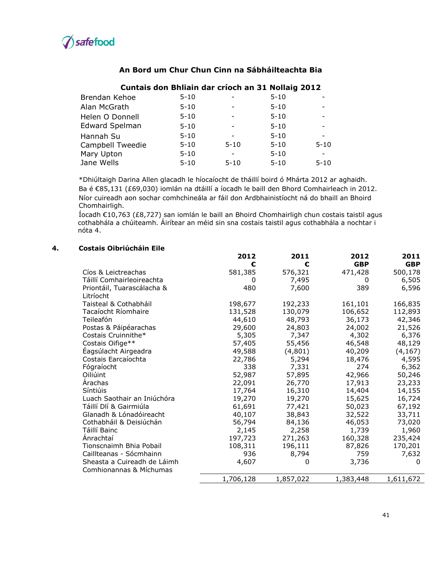

#### Brendan Kehoe 5-10 - 5-10 Alan McGrath 5-10 - 5-10 -Helen O Donnell 5-10 - 5-10 Edward Spelman 5-10 - 5-10 -Hannah Su Campbell Tweedie Mary Upton Jane Wells 5-10 5-10 5-10 5-10 - 5-10 - 5-10 5-10 5-10 5-10 5-10 - 5-10 - 5-10

#### **Cuntais don Bhliain dar críoch an 31 Nollaig 2012**

\*Dhiúltaigh Darina Allen glacadh le híocaíocht de tháillí boird ó Mhárta 2012 ar aghaidh. Ba é €85,131 (£69,030) iomlán na dtáillí a íocadh le baill den Bhord Comhairleach in 2012. Níor cuireadh aon sochar comhchineála ar fáil don Ardbhainistíocht ná do bhaill an Bhoird Chomhairligh.

Íocadh €10,763 (£8,727) san iomlán le baill an Bhoird Chomhairligh chun costais taistil agus cothabhála a chúiteamh. Áirítear an méid sin sna costais taistil agus cothabhála a nochtar i nóta 4.

#### **4. Costais Oibriúcháin Eile**

|                             | 2012      | 2011      | 2012       | 2011       |
|-----------------------------|-----------|-----------|------------|------------|
|                             | €         | €         | <b>GBP</b> | <b>GBP</b> |
| Cíos & Leictreachas         | 581,385   | 576,321   | 471,428    | 500,178    |
| Táillí Comhairleoireachta   | 0         | 7,495     | 0          | 6,505      |
| Priontáil, Tuarascálacha &  | 480       | 7,600     | 389        | 6,596      |
| Litríocht                   |           |           |            |            |
| Taisteal & Cothabháil       | 198,677   | 192,233   | 161,101    | 166,835    |
| Tacaíocht Ríomhaire         | 131,528   | 130,079   | 106,652    | 112,893    |
| Teileafón                   | 44,610    | 48,793    | 36,173     | 42,346     |
| Postas & Páipéarachas       | 29,600    | 24,803    | 24,002     | 21,526     |
| Costais Cruinnithe*         | 5,305     | 7,347     | 4,302      | 6,376      |
| Costais Oifige**            | 57,405    | 55,456    | 46,548     | 48,129     |
| Éagsúlacht Airgeadra        | 49,588    | (4,801)   | 40,209     | (4, 167)   |
| Costais Earcaíochta         | 22,786    | 5,294     | 18,476     | 4,595      |
| Fógraíocht                  | 338       | 7,331     | 274        | 6,362      |
| Oiliúint                    | 52,987    | 57,895    | 42,966     | 50,246     |
| Arachas                     | 22,091    | 26,770    | 17,913     | 23,233     |
| Síntiúis                    | 17,764    | 16,310    | 14,404     | 14,155     |
| Luach Saothair an Iniúchóra | 19,270    | 19,270    | 15,625     | 16,724     |
| Táillí Dlí & Gairmiúla      | 61,691    | 77,421    | 50,023     | 67,192     |
| Glanadh & Lónadóireacht     | 40,107    | 38,843    | 32,522     | 33,711     |
| Cothabháil & Deisiúchán     | 56,794    | 84,136    | 46,053     | 73,020     |
| Táillí Bainc                | 2,145     | 2,258     | 1,739      | 1,960      |
| Anrachtaí                   | 197,723   | 271,263   | 160,328    | 235,424    |
| Tionscnaimh Bhia Pobail     | 108,311   | 196,111   | 87,826     | 170,201    |
| Caillteanas - Sócmhainn     | 936       | 8,794     | 759        | 7,632      |
| Sheasta a Cuireadh de Láimh | 4,607     | 0         | 3,736      | 0          |
| Comhionannas & Míchumas     |           |           |            |            |
|                             | 1,706,128 | 1,857,022 | 1,383,448  | 1,611,672  |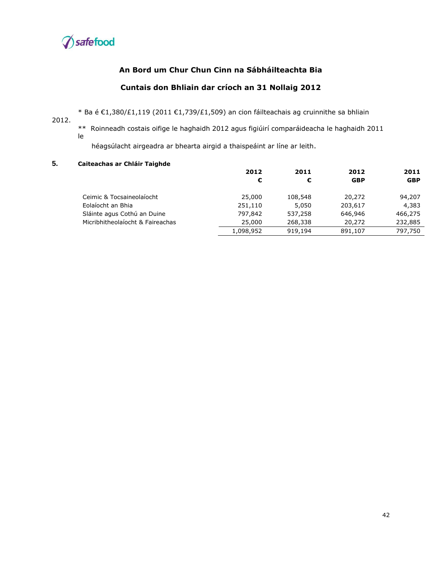

#### **Cuntais don Bhliain dar críoch an 31 Nollaig 2012**

\* Ba é €1,380/£1,119 (2011 €1,739/£1,509) an cion fáilteachais ag cruinnithe sa bhliain

2012.

\*\* Roinneadh costais oifige le haghaidh 2012 agus figiúirí comparáideacha le haghaidh 2011 le

héagsúlacht airgeadra ar bhearta airgid a thaispeáint ar líne ar leith.

#### **5. Caiteachas ar Chláir Taighde**

|                                  | 2012      | 2011    | 2012       | 2011       |
|----------------------------------|-----------|---------|------------|------------|
|                                  | €         | €       | <b>GBP</b> | <b>GBP</b> |
| Ceimic & Tocsaineolaíocht        | 25,000    | 108,548 | 20,272     | 94,207     |
| Eolaíocht an Bhia                | 251,110   | 5,050   | 203,617    | 4,383      |
| Sláinte agus Cothú an Duine      | 797,842   | 537,258 | 646,946    | 466,275    |
| Micribhitheolaíocht & Faireachas | 25,000    | 268,338 | 20,272     | 232,885    |
|                                  | 1,098,952 | 919,194 | 891,107    | 797,750    |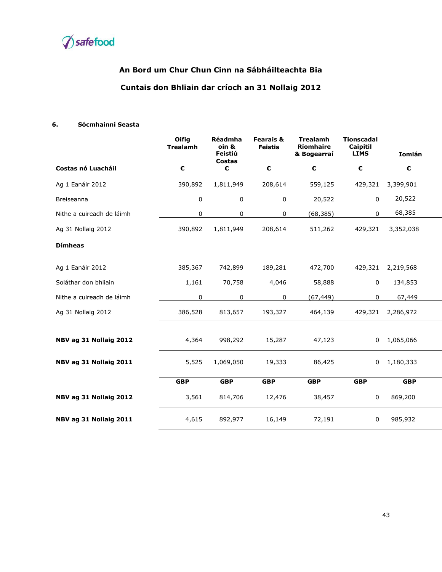

# **An Bord um Chur Chun Cinn na Sábháilteachta Bia Cuntais don Bhliain dar críoch an 31 Nollaig 2012**

#### **6. Sócmhainní Seasta**

|                           | Oifig<br><b>Trealamh</b> | Réadmha<br>oin &<br>Feistiú<br><b>Costas</b> | <b>Fearais &amp;</b><br><b>Feistis</b> | <b>Trealamh</b><br>Ríomhaire<br>& Bogearraí | <b>Tionscadal</b><br>Caipitil<br><b>LIMS</b> | Iomlán           |
|---------------------------|--------------------------|----------------------------------------------|----------------------------------------|---------------------------------------------|----------------------------------------------|------------------|
| Costas nó Luacháil        | €                        | €                                            | €                                      | €                                           | €                                            | $\pmb{\epsilon}$ |
| Ag 1 Eanáir 2012          | 390,892                  | 1,811,949                                    | 208,614                                | 559,125                                     | 429,321                                      | 3,399,901        |
| Breiseanna                | 0                        | 0                                            | 0                                      | 20,522                                      | 0                                            | 20,522           |
| Nithe a cuireadh de láimh | 0                        | 0                                            | 0                                      | (68, 385)                                   | 0                                            | 68,385           |
| Ag 31 Nollaig 2012        | 390,892                  | 1,811,949                                    | 208,614                                | 511,262                                     | 429,321                                      | 3,352,038        |
| <b>Dímheas</b>            |                          |                                              |                                        |                                             |                                              |                  |
| Ag 1 Eanáir 2012          | 385,367                  | 742,899                                      | 189,281                                | 472,700                                     | 429,321                                      | 2,219,568        |
| Soláthar don bhliain      | 1,161                    | 70,758                                       | 4,046                                  | 58,888                                      | 0                                            | 134,853          |
| Nithe a cuireadh de láimh | 0                        | 0                                            | 0                                      | (67, 449)                                   | 0                                            | 67,449           |
| Ag 31 Nollaig 2012        | 386,528                  | 813,657                                      | 193,327                                | 464,139                                     | 429,321                                      | 2,286,972        |
| NBV ag 31 Nollaig 2012    | 4,364                    | 998,292                                      | 15,287                                 | 47,123                                      | 0                                            | 1,065,066        |
| NBV ag 31 Nollaig 2011    | 5,525                    | 1,069,050                                    | 19,333                                 | 86,425                                      | 0                                            | 1,180,333        |
|                           | <b>GBP</b>               | <b>GBP</b>                                   | <b>GBP</b>                             | <b>GBP</b>                                  | <b>GBP</b>                                   | <b>GBP</b>       |
| NBV ag 31 Nollaig 2012    | 3,561                    | 814,706                                      | 12,476                                 | 38,457                                      | 0                                            | 869,200          |
| NBV ag 31 Nollaig 2011    | 4,615                    | 892,977                                      | 16,149                                 | 72,191                                      | 0                                            | 985,932          |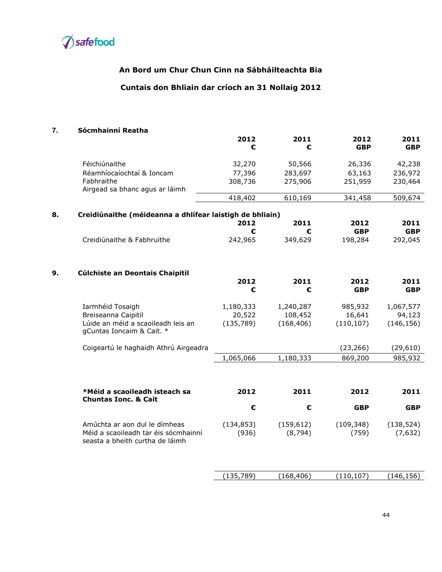

# **Cuntais don Bhliain dar críoch an 31 Nollaig 2012**

# **7. Sócmhainní Reatha**

|    |                                                                         | 2012<br>€  | 2011<br>€  | 2012<br><b>GBP</b> | 2011<br><b>GBP</b> |
|----|-------------------------------------------------------------------------|------------|------------|--------------------|--------------------|
|    | Féichiúnaithe                                                           | 32,270     | 50,566     | 26,336             | 42,238             |
|    | Réamhíocaíochtaí & Ioncam                                               | 77,396     | 283,697    | 63,163             | 236,972            |
|    | Fabhraithe<br>Airgead sa bhanc agus ar láimh                            | 308,736    | 275,906    | 251,959            | 230,464            |
|    |                                                                         | 418,402    | 610,169    | 341,458            | 509,674            |
| 8. | Creidiúnaithe (méideanna a dhlífear laistigh de bhliain)                |            |            |                    |                    |
|    |                                                                         | 2012       | 2011       | 2012               | 2011               |
|    |                                                                         | €          | €          | <b>GBP</b>         | <b>GBP</b>         |
|    | Creidiúnaithe & Fabhruithe                                              | 242,965    | 349,629    | 198,284            | 292,045            |
| 9. | Cúlchiste an Deontais Chaipitil                                         |            |            |                    |                    |
|    |                                                                         | 2012       | 2011       | 2012               | 2011               |
|    |                                                                         | €          | €          | <b>GBP</b>         | <b>GBP</b>         |
|    | Iarmhéid Tosaigh                                                        | 1,180,333  | 1,240,287  | 985,932            | 1,067,577          |
|    | Breiseanna Caipitil                                                     | 20,522     | 108,452    | 16,641             | 94,123             |
|    | Lúide an méid a scaoileadh leis an<br>gCuntas Ioncaim & Cait. *         | (135, 789) | (168, 406) | (110, 107)         | (146, 156)         |
|    | Coigeartú le haghaidh Athrú Airgeadra                                   |            |            | (23, 266)          | (29,610)           |
|    |                                                                         | 1,065,066  | 1,180,333  | 869,200            | 985,932            |
|    |                                                                         |            |            |                    |                    |
|    | *Méid a scaoileadh isteach sa                                           | 2012       | 2011       | 2012               | 2011               |
|    | <b>Chuntas Ionc. &amp; Cait</b>                                         | €          | €          | <b>GBP</b>         | <b>GBP</b>         |
|    | Amúchta ar aon dul le dímheas                                           | (134, 853) | (159, 612) | (109, 348)         | (138, 524)         |
|    | Méid a scaoileadh tar éis sócmhainní<br>seasta a bheith curtha de láimh | (936)      | (8, 794)   | (759)              | (7,632)            |
|    |                                                                         |            |            |                    |                    |
|    |                                                                         | (135, 789) | (168, 406) | (110, 107)         | (146, 156)         |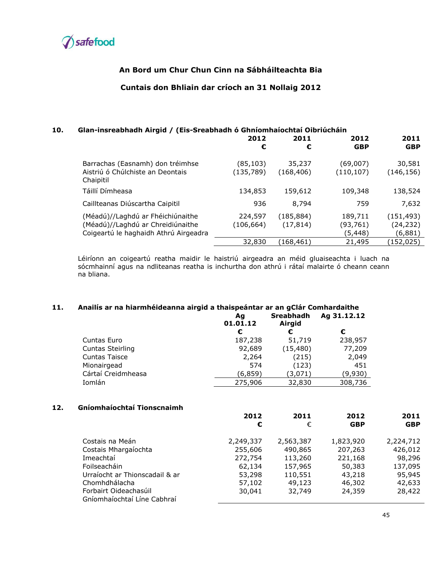

#### **Cuntais don Bhliain dar críoch an 31 Nollaig 2012**

#### **10. Glan-insreabhadh Airgid / (Eis-Sreabhadh ó Ghníomhaíochtaí Oibriúcháin**

|                                                                                                                 | 2012<br>€              | 2011<br>€              | 2012<br><b>GBP</b>             | 2011<br><b>GBP</b>                 |
|-----------------------------------------------------------------------------------------------------------------|------------------------|------------------------|--------------------------------|------------------------------------|
| Barrachas (Easnamh) don tréimhse<br>Aistriú ó Chúlchiste an Deontais<br>Chaipitil                               | (85,103)<br>(135, 789) | 35,237<br>(168, 406)   | (69,007)<br>(110, 107)         | 30,581<br>(146, 156)               |
| Táillí Dímheasa                                                                                                 | 134,853                | 159,612                | 109,348                        | 138,524                            |
| Caillteanas Diúscartha Caipitil                                                                                 | 936                    | 8,794                  | 759                            | 7,632                              |
| (Méadú)//Laghdú ar Fhéichiúnaithe<br>(Méadú)//Laghdú ar Chreidiúnaithe<br>Coigeartú le haghaidh Athrú Airgeadra | 224,597<br>(106,664)   | (185,884)<br>(17, 814) | 189,711<br>(93,761)<br>(5,448) | (151, 493)<br>(24, 232)<br>(6,881) |
|                                                                                                                 | 32,830                 | (168,461)              | 21,495                         | (152,025)                          |

Léiríonn an coigeartú reatha maidir le haistriú airgeadra an méid gluaiseachta i luach na sócmhainní agus na ndliteanas reatha is inchurtha don athrú i rátaí malairte ó cheann ceann na bliana.

#### **11. Anailís ar na hiarmhéideanna airgid a thaispeántar ar an gClár Comhardaithe**

|                         | Aq<br>01.01.12 | <b>Sreabhadh</b><br>Airgid | Ag 31.12.12 |
|-------------------------|----------------|----------------------------|-------------|
|                         | €              | €                          | €           |
| Cuntas Euro             | 187,238        | 51,719                     | 238,957     |
| <b>Cuntas Steirling</b> | 92,689         | (15, 480)                  | 77,209      |
| <b>Cuntas Taisce</b>    | 2,264          | (215)                      | 2,049       |
| Mionairgead             | 574            | (123)                      | 451         |
| Cártaí Creidmheasa      | (6,859)        | (3,071)                    | (9,930)     |
| Iomlán                  | 275,906        | 32,830                     | 308,736     |

#### **12. Gníomhaíochtaí Tionscnaimh**

|                                | 2012      | 2011      | 2012       | 2011       |
|--------------------------------|-----------|-----------|------------|------------|
|                                | €         | €         | <b>GBP</b> | <b>GBP</b> |
| Costais na Meán                | 2,249,337 | 2,563,387 | 1,823,920  | 2,224,712  |
| Costais Mhargaíochta           | 255,606   | 490,865   | 207,263    | 426,012    |
| Imeachtaí                      | 272,754   | 113,260   | 221,168    | 98,296     |
| Foilseacháin                   | 62,134    | 157,965   | 50,383     | 137,095    |
| Urraíocht ar Thionscadail & ar | 53,298    | 110,551   | 43,218     | 95,945     |
| Chomhdhálacha                  | 57,102    | 49,123    | 46,302     | 42,633     |
| Forbairt Oideachasúil          | 30,041    | 32,749    | 24,359     | 28,422     |
| Gníomhaíochtaí Líne Cabhraí    |           |           |            |            |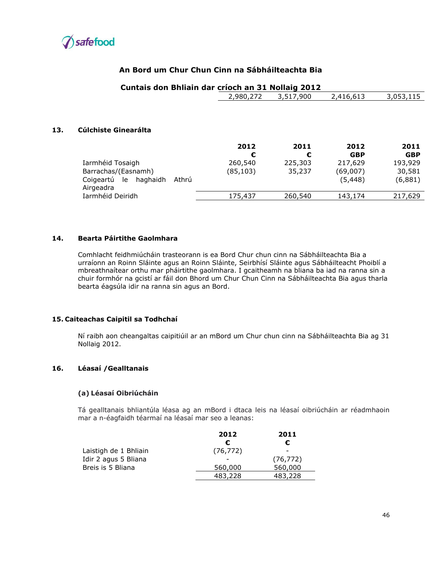

**13. Cúlchiste Ginearálta** 

## **An Bord um Chur Chun Cinn na Sábháilteachta Bia**

#### **Cuntais don Bhliain dar críoch an 31 Nollaig 2012**

|                                                   | 2,980,272 | 3,517,900 | 2,416,613  | 3,053,115  |
|---------------------------------------------------|-----------|-----------|------------|------------|
| Cúlchiste Ginearálta                              |           |           |            |            |
|                                                   |           |           |            |            |
|                                                   | 2012      | 2011      | 2012       | 2011       |
|                                                   | €         | €         | <b>GBP</b> | <b>GBP</b> |
| Iarmhéid Tosaigh                                  | 260,540   | 225,303   | 217,629    | 193,929    |
| Barrachas/(Easnamh)                               | (85, 103) | 35,237    | (69,007)   | 30,581     |
| Athrú<br>Coigeartú<br>le<br>haghaidh<br>Airgeadra |           |           | (5,448)    | (6,881)    |
| Iarmhéid Deiridh                                  | 175,437   | 260,540   | 143,174    | 217,629    |

#### **14. Bearta Páirtithe Gaolmhara**

Comhlacht feidhmiúcháin trasteorann is ea Bord Chur chun cinn na Sábháilteachta Bia a urraíonn an Roinn Sláinte agus an Roinn Sláinte, Seirbhísí Sláinte agus Sábháilteacht Phoiblí a mbreathnaítear orthu mar pháirtithe gaolmhara. I gcaitheamh na bliana ba iad na ranna sin a chuir formhór na gcistí ar fáil don Bhord um Chur Chun Cinn na Sábháilteachta Bia agus tharla bearta éagsúla idir na ranna sin agus an Bord.

#### **15. Caiteachas Caipitil sa Todhchaí**

Ní raibh aon cheangaltas caipitiúil ar an mBord um Chur chun cinn na Sábháilteachta Bia ag 31 Nollaig 2012.

#### **16. Léasaí /Gealltanais**

#### **(a) Léasaí Oibriúcháin**

Tá gealltanais bhliantúla léasa ag an mBord i dtaca leis na léasaí oibriúcháin ar réadmhaoin mar a n-éagfaidh téarmaí na léasaí mar seo a leanas:

|                       | 2012      | 2011      |
|-----------------------|-----------|-----------|
|                       | €         | €         |
| Laistigh de 1 Bhliain | (76, 772) | -         |
| Idir 2 agus 5 Bliana  |           | (76, 772) |
| Breis is 5 Bliana     | 560,000   | 560,000   |
|                       | 483,228   | 483,228   |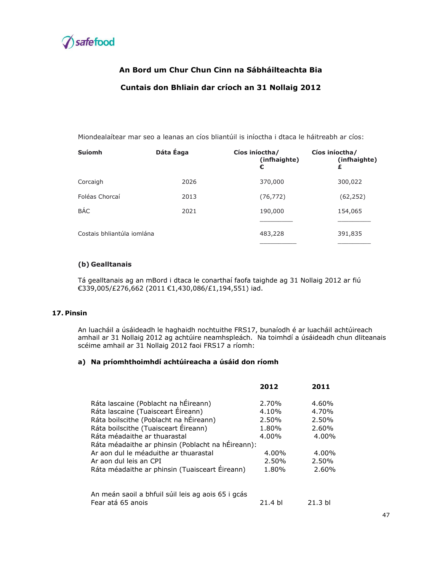

# **An Bord um Chur Chun Cinn na Sábháilteachta Bia Cuntais don Bhliain dar críoch an 31 Nollaig 2012**

Miondealaítear mar seo a leanas an cíos bliantúil is iníoctha i dtaca le háitreabh ar cíos:

| <b>Suíomh</b>              | Dáta Éaga | Cíos iníoctha/<br>(infhaighte)<br>€ | Cíos iníoctha/<br>(infhaighte)<br>£ |
|----------------------------|-----------|-------------------------------------|-------------------------------------|
| Corcaigh                   | 2026      | 370,000                             | 300,022                             |
| Foléas Chorcaí             | 2013      | (76, 772)                           | (62, 252)                           |
| <b>BÁC</b>                 | 2021      | 190,000                             | 154,065                             |
|                            |           |                                     |                                     |
| Costais bhliantúla iomlána |           | 483,228                             | 391,835                             |
|                            |           |                                     |                                     |

#### **(b) Gealltanais**

Tá gealltanais ag an mBord i dtaca le conarthaí faofa taighde ag 31 Nollaig 2012 ar fiú €339,005/£276,662 (2011 €1,430,086/£1,194,551) iad.

#### **17. Pinsin**

An luacháil a úsáideadh le haghaidh nochtuithe FRS17, bunaíodh é ar luacháil achtúireach amhail ar 31 Nollaig 2012 ag achtúire neamhspleách. Na toimhdí a úsáideadh chun dliteanais scéime amhail ar 31 Nollaig 2012 faoi FRS17 a ríomh:

#### **a) Na príomhthoimhdí achtúireacha a úsáid don ríomh**

|                                                    | 2012    | 2011              |
|----------------------------------------------------|---------|-------------------|
| Ráta lascaine (Poblacht na hÉireann)               | 2.70%   | 4.60%             |
| Ráta lascaine (Tuaisceart Éireann)                 | 4.10%   | 4.70%             |
| Ráta boilscithe (Poblacht na hÉireann)             | 2.50%   | 2.50%             |
| Ráta boilscithe (Tuaisceart Éireann)               | 1.80%   | 2.60%             |
| Ráta méadaithe ar thuarastal                       | 4.00%   | 4.00%             |
| Ráta méadaithe ar phinsin (Poblacht na hÉireann):  |         |                   |
| Ar aon dul le méaduithe ar thuarastal              | 4.00%   | 4.00%             |
| Ar aon dul leis an CPI                             | 2.50%   | 2.50%             |
| Ráta méadaithe ar phinsin (Tuaisceart Éireann)     | 1.80%   | 2.60%             |
| An meán saoil a bhfuil súil leis ag aois 65 i gcás |         |                   |
| Fear atá 65 anois                                  | 21.4 bl | 21.3 <sub>b</sub> |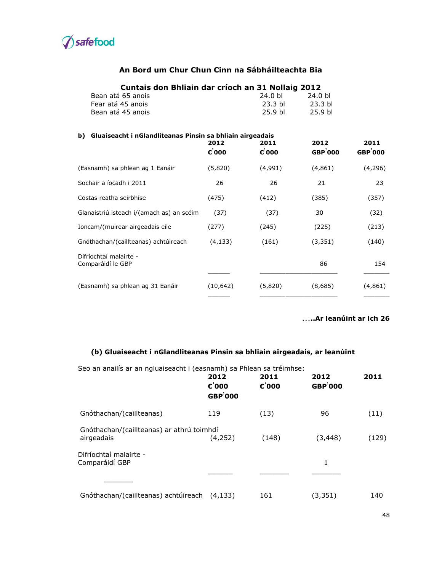

| Cuntais don Bhliain dar críoch an 31 Nollaig 2012               |                 |                    |                    |                |
|-----------------------------------------------------------------|-----------------|--------------------|--------------------|----------------|
| Bean atá 65 anois                                               | 24.0 bl         | 24.0 bl            |                    |                |
| Fear atá 45 anois                                               | 23.3 bl         | 23.3 <sub>b</sub>  |                    |                |
| Bean atá 45 anois                                               |                 | 25.9 <sub>b</sub>  | 25.9 <sub>bl</sub> |                |
| Gluaiseacht i nGlandliteanas Pinsin sa bhliain airgeadais<br>b) |                 |                    |                    |                |
|                                                                 | 2012            | 2011               | 2012               | 2011           |
|                                                                 | $\epsilon$ '000 | $\varepsilon$ '000 | <b>GBP</b> 000     | <b>GBP</b> 000 |
| (Easnamh) sa phlean ag 1 Eanáir                                 | (5,820)         | (4,991)            | (4, 861)           | (4,296)        |
| Sochair a íocadh i 2011                                         | 26              | 26                 | 21                 | 23             |
| Costas reatha seirbhíse                                         | (475)           | (412)              | (385)              | (357)          |
| Glanaistriú isteach i/(amach as) an scéim                       | (37)            | (37)               | 30                 | (32)           |
| Ioncam/(muirear airgeadais eile                                 | (277)           | (245)              | (225)              | (213)          |
| Gnóthachan/(caillteanas) achtúireach                            | (4, 133)        | (161)              | (3, 351)           | (140)          |
| Difríochtaí malairte -<br>Comparáidí le GBP                     |                 |                    | 86                 | 154            |
| (Easnamh) sa phlean ag 31 Eanáir                                | (10, 642)       | (5,820)            | (8,685)            | (4,861)        |

### …**..Ar leanúint ar lch 26**

# **(b) Gluaiseacht i nGlandliteanas Pinsin sa bhliain airgeadais, ar leanúint**

| Seo an anailís ar an ngluaiseacht i (easnamh) sa Phlean sa tréimhse: |                                               |                            |                         |       |
|----------------------------------------------------------------------|-----------------------------------------------|----------------------------|-------------------------|-------|
|                                                                      | 2012<br>$\varepsilon$ '000<br><b>GBP</b> '000 | 2011<br>$\varepsilon$ '000 | 2012<br><b>GBP</b> '000 | 2011  |
| Gnóthachan/(caillteanas)                                             | 119                                           | (13)                       | 96                      | (11)  |
| Gnóthachan/(caillteanas) ar athrú toimhdí<br>airgeadais              | (4,252)                                       | (148)                      | (3,448)                 | (129) |
| Difríochtaí malairte -<br>Comparáidí GBP                             |                                               |                            | 1                       |       |
|                                                                      |                                               |                            |                         |       |
| Gnóthachan/(caillteanas) achtúireach                                 | (4.133)                                       | 161                        | (3, 351)                | 140   |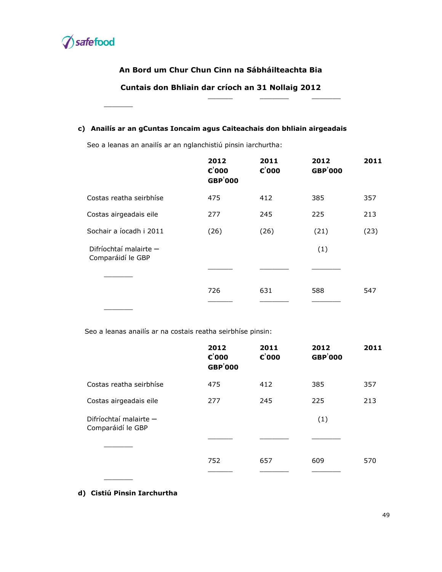

 $\frac{1}{2}$ 

# **An Bord um Chur Chun Cinn na Sábháilteachta Bia**

**Cuntais don Bhliain dar críoch an 31 Nollaig 2012**

\_\_\_\_\_\_ \_\_\_\_\_\_\_ \_\_\_\_\_\_\_

#### **c) Anailís ar an gCuntas Ioncaim agus Caiteachais don bhliain airgeadais**

Seo a leanas an anailís ar an nglanchistiú pinsin iarchurtha:

|                                             | 2012<br>$\varepsilon$ '000<br><b>GBP</b> '000 | 2011<br>$\varepsilon$ '000 | 2012<br><b>GBP</b> '000 | 2011 |
|---------------------------------------------|-----------------------------------------------|----------------------------|-------------------------|------|
| Costas reatha seirbhíse                     | 475                                           | 412                        | 385                     | 357  |
| Costas airgeadais eile                      | 277                                           | 245                        | 225                     | 213  |
| Sochair a íocadh i 2011                     | (26)                                          | (26)                       | (21)                    | (23) |
| Difríochtaí malairte -<br>Comparáidí le GBP |                                               |                            | (1)                     |      |
|                                             |                                               |                            |                         |      |
|                                             | 726                                           | 631                        | 588                     | 547  |
|                                             |                                               |                            |                         |      |

Seo a leanas anailís ar na costais reatha seirbhíse pinsin:

|                                             | 2012<br>$\varepsilon$ '000<br><b>GBP</b> '000 | 2011<br>$\varepsilon$ '000 | 2012<br><b>GBP</b> '000 | 2011 |
|---------------------------------------------|-----------------------------------------------|----------------------------|-------------------------|------|
| Costas reatha seirbhíse                     | 475                                           | 412                        | 385                     | 357  |
| Costas airgeadais eile                      | 277                                           | 245                        | 225                     | 213  |
| Difríochtaí malairte -<br>Comparáidí le GBP |                                               |                            | (1)                     |      |
|                                             |                                               |                            |                         |      |
|                                             | 752                                           | 657                        | 609                     | 570  |
|                                             |                                               |                            |                         |      |

**d) Cistiú Pinsin Iarchurtha**

 $\overline{\phantom{a}}$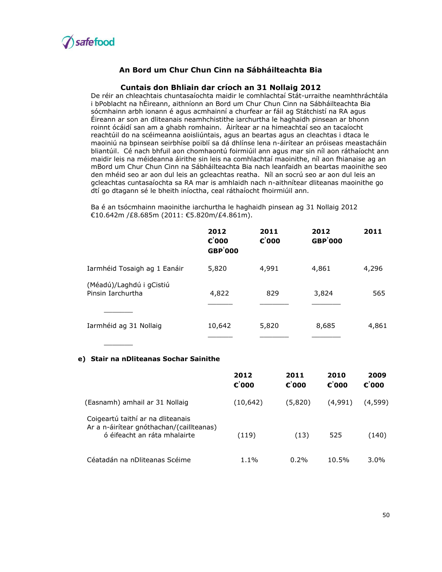

#### **Cuntais don Bhliain dar críoch an 31 Nollaig 2012**

De réir an chleachtais chuntasaíochta maidir le comhlachtaí Stát-urraithe neamhthráchtála i bPoblacht na hÉireann, aithníonn an Bord um Chur Chun Cinn na Sábháilteachta Bia sócmhainn arbh ionann é agus acmhainní a churfear ar fáil ag Státchistí na RA agus Éireann ar son an dliteanais neamhchistithe iarchurtha le haghaidh pinsean ar bhonn roinnt ócáidí san am a ghabh romhainn. Áirítear ar na himeachtaí seo an tacaíocht reachtúil do na scéimeanna aoisliúntais, agus an beartas agus an cleachtas i dtaca le maoiniú na bpinsean seirbhíse poiblí sa dá dhlínse lena n-áirítear an próiseas meastacháin bliantúil. Cé nach bhfuil aon chomhaontú foirmiúil ann agus mar sin níl aon ráthaíocht ann maidir leis na méideanna áirithe sin leis na comhlachtaí maoinithe, níl aon fhianaise ag an mBord um Chur Chun Cinn na Sábháilteachta Bia nach leanfaidh an beartas maoinithe seo den mhéid seo ar aon dul leis an gcleachtas reatha. Níl an socrú seo ar aon dul leis an gcleachtas cuntasaíochta sa RA mar is amhlaidh nach n-aithnítear dliteanas maoinithe go dtí go dtagann sé le bheith iníoctha, ceal ráthaíocht fhoirmiúil ann.

Ba é an tsócmhainn maoinithe iarchurtha le haghaidh pinsean ag 31 Nollaig 2012 €10.642m /£8.685m (2011: €5.820m/£4.861m).

|                                               | 2012<br>$\varepsilon$ '000<br><b>GBP</b> '000 | 2011<br>$\varepsilon$ '000 | 2012<br><b>GBP</b> '000 | 2011  |
|-----------------------------------------------|-----------------------------------------------|----------------------------|-------------------------|-------|
| Iarmhéid Tosaigh ag 1 Eanáir                  | 5,820                                         | 4,991                      | 4,861                   | 4,296 |
| (Méadú)/Laghdú i gCistiú<br>Pinsin Tarchurtha | 4,822                                         | 829                        | 3,824                   | 565   |
|                                               |                                               |                            |                         |       |
| Iarmhéid ag 31 Nollaig                        | 10,642                                        | 5,820                      | 8,685                   | 4,861 |
|                                               |                                               |                            |                         |       |

#### **e) Stair na nDliteanas Sochar Sainithe**

|                                                                                                               | 2012<br>$\epsilon$ '000 | 2011<br>$\epsilon$ '000 | 2010<br>$\epsilon$ '000 | 2009<br>$\varepsilon$ '000 |
|---------------------------------------------------------------------------------------------------------------|-------------------------|-------------------------|-------------------------|----------------------------|
| (Easnamh) amhail ar 31 Nollaig                                                                                | (10,642)                | (5,820)                 | (4,991)                 | (4,599)                    |
| Coigeartú taithí ar na dliteanais<br>Ar a n-áirítear gnóthachan/(caillteanas)<br>ó éifeacht an ráta mhalairte | (119)                   | (13)                    | 525                     | (140)                      |
| Céatadán na nDliteanas Scéime                                                                                 | $1.1\%$                 | 0.2%                    | 10.5%                   | $3.0\%$                    |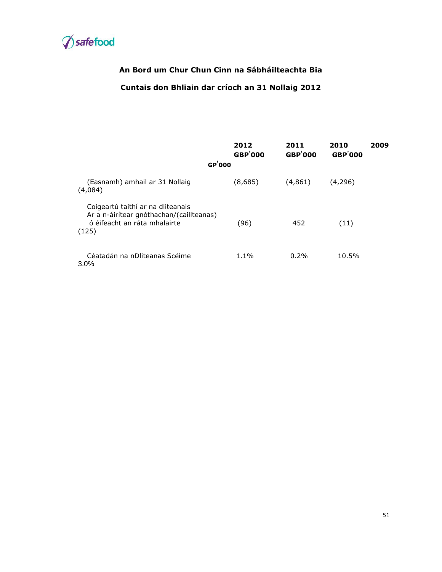

# **Cuntais don Bhliain dar críoch an 31 Nollaig 2012**

|                                                                                                                        | 2012<br><b>GBP</b> '000 | 2011<br><b>GBP</b> '000 | 2010<br><b>GBP</b> '000 | 2009 |
|------------------------------------------------------------------------------------------------------------------------|-------------------------|-------------------------|-------------------------|------|
| GP'000                                                                                                                 |                         |                         |                         |      |
| (Easnamh) amhail ar 31 Nollaig<br>(4,084)                                                                              | (8,685)                 | (4,861)                 | (4,296)                 |      |
| Coigeartú taithí ar na dliteanais<br>Ar a n-áirítear gnóthachan/(caillteanas)<br>ó éifeacht an ráta mhalairte<br>(125) | (96)                    | 452                     | (11)                    |      |
| Céatadán na nDliteanas Scéime<br>$3.0\%$                                                                               | $1.1\%$                 | $0.2\%$                 | 10.5%                   |      |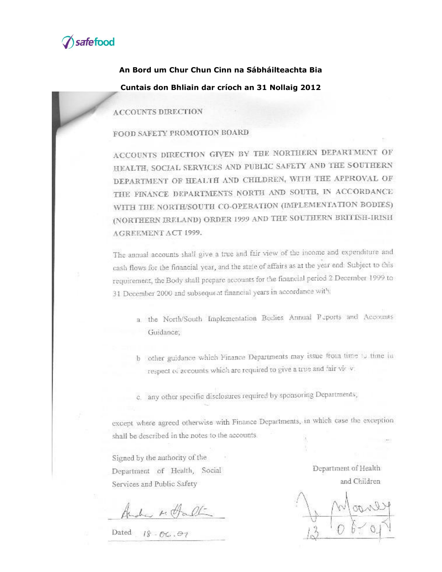

# **An Bord um Chur Chun Cinn na Sábháilteachta Bia Cuntais don Bhliain dar críoch an 31 Nollaig 2012**

**ACCOUNTS DIRECTION** 

FOOD SAFETY PROMOTION BOARD

ACCOUNTS DIRECTION GIVEN BY THE NORTHERN DEPARTMENT OF HEALTH, SOCIAL SERVICES AND PUBLIC SAFETY AND THE SOUTHERN DEPARTMENT OF HEALTH AND CHILDREN, WITH THE APPROVAL OF THE FINANCE DEPARTMENTS NORTH AND SOUTH, IN ACCORDANCE WITH THE NORTH/SOUTH CO-OPERATION (IMPLEMENTATION BODIES) (NORTHERN IRELAND) ORDER 1999 AND THE SOUTHERN BRITISH-IRISH AGREEMENT ACT 1999.

The annual accounts shall give a true and fair view of the income and expenditure and cash flows for the financial year, and the state of affairs as at the year end: Subject to this requirement, the Body shall prepare accounts for the financial period 2 December 1999 to 31 December 2000 and subsequent financial years in accordance with:

- a the North/South Implementation Bodies Annual Peports and Accounts Guidance;
- b other guidance which Finance Departments may issue from time to time in respect of accounts which are required to give a true and fair virty.
- c. any other specific disclosures required by sponsoring Departments,

except where agreed otherwise with Finance Departments, in which case the exception shall be described in the notes to the accounts.

Signed by the authority of the Department of Health, Social Services and Public Safety

Ande Holl

Dated  $18 - 66.07$ 

Department of Health and Children

52